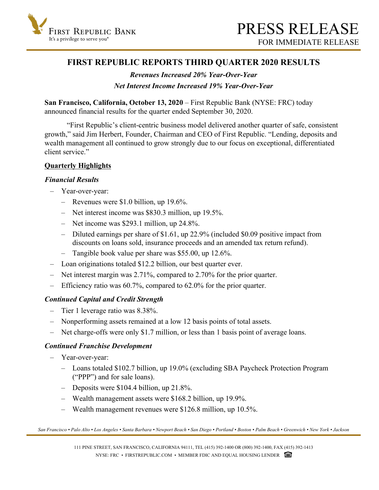

# **FIRST REPUBLIC REPORTS THIRD QUARTER 2020 RESULTS**

# *Revenues Increased 20% Year-Over-Year*

# *Net Interest Income Increased 19% Year-Over-Year*

**San Francisco, California, October 13, 2020** – First Republic Bank (NYSE: FRC) today announced financial results for the quarter ended September 30, 2020.

 "First Republic's client-centric business model delivered another quarter of safe, consistent growth," said Jim Herbert, Founder, Chairman and CEO of First Republic. "Lending, deposits and wealth management all continued to grow strongly due to our focus on exceptional, differentiated client service"

# **Quarterly Highlights**

# *Financial Results*

- Year-over-year:
	- Revenues were \$1.0 billion, up 19.6%.
	- Net interest income was \$830.3 million, up 19.5%.
	- Net income was \$293.1 million, up 24.8%.
	- Diluted earnings per share of \$1.61, up 22.9% (included \$0.09 positive impact from discounts on loans sold, insurance proceeds and an amended tax return refund).
	- Tangible book value per share was \$55.00, up 12.6%.
- Loan originations totaled \$12.2 billion, our best quarter ever.
- Net interest margin was 2.71%, compared to 2.70% for the prior quarter.
- Efficiency ratio was 60.7%, compared to 62.0% for the prior quarter.

# *Continued Capital and Credit Strength*

- Tier 1 leverage ratio was 8.38%.
- Nonperforming assets remained at a low 12 basis points of total assets.
- Net charge-offs were only \$1.7 million, or less than 1 basis point of average loans.

#### *Continued Franchise Development*

- Year-over-year:
	- Loans totaled \$102.7 billion, up 19.0% (excluding SBA Paycheck Protection Program ("PPP") and for sale loans).
	- Deposits were \$104.4 billion, up 21.8%.
	- Wealth management assets were \$168.2 billion, up 19.9%.
	- Wealth management revenues were \$126.8 million, up 10.5%.

*San Francisco • Palo Alto • Los Angeles • Santa Barbara • Newport Beach • San Diego • Portland • Boston • Palm Beach • Greenwich • New York • Jackson*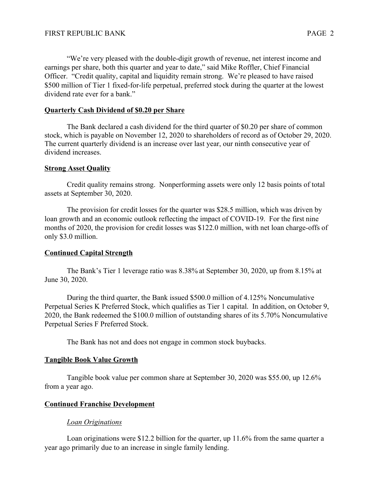"We're very pleased with the double-digit growth of revenue, net interest income and earnings per share, both this quarter and year to date," said Mike Roffler, Chief Financial Officer. "Credit quality, capital and liquidity remain strong. We're pleased to have raised \$500 million of Tier 1 fixed-for-life perpetual, preferred stock during the quarter at the lowest dividend rate ever for a bank."

### **Quarterly Cash Dividend of \$0.20 per Share**

The Bank declared a cash dividend for the third quarter of \$0.20 per share of common stock, which is payable on November 12, 2020 to shareholders of record as of October 29, 2020. The current quarterly dividend is an increase over last year, our ninth consecutive year of dividend increases.

#### **Strong Asset Quality**

Credit quality remains strong. Nonperforming assets were only 12 basis points of total assets at September 30, 2020.

The provision for credit losses for the quarter was \$28.5 million, which was driven by loan growth and an economic outlook reflecting the impact of COVID-19. For the first nine months of 2020, the provision for credit losses was \$122.0 million, with net loan charge-offs of only \$3.0 million.

#### **Continued Capital Strength**

The Bank's Tier 1 leverage ratio was 8.38% at September 30, 2020, up from 8.15% at June 30, 2020.

During the third quarter, the Bank issued \$500.0 million of 4.125% Noncumulative Perpetual Series K Preferred Stock, which qualifies as Tier 1 capital. In addition, on October 9, 2020, the Bank redeemed the \$100.0 million of outstanding shares of its 5.70% Noncumulative Perpetual Series F Preferred Stock.

The Bank has not and does not engage in common stock buybacks.

#### **Tangible Book Value Growth**

Tangible book value per common share at September 30, 2020 was \$55.00, up 12.6% from a year ago.

#### **Continued Franchise Development**

# *Loan Originations*

Loan originations were \$12.2 billion for the quarter, up 11.6% from the same quarter a year ago primarily due to an increase in single family lending.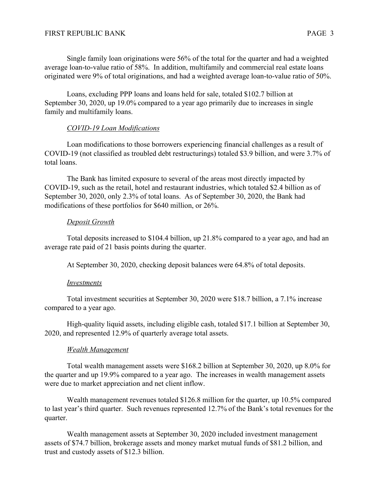Single family loan originations were 56% of the total for the quarter and had a weighted average loan-to-value ratio of 58%. In addition, multifamily and commercial real estate loans originated were 9% of total originations, and had a weighted average loan-to-value ratio of 50%.

 Loans, excluding PPP loans and loans held for sale, totaled \$102.7 billion at September 30, 2020, up 19.0% compared to a year ago primarily due to increases in single family and multifamily loans.

#### *COVID-19 Loan Modifications*

Loan modifications to those borrowers experiencing financial challenges as a result of COVID-19 (not classified as troubled debt restructurings) totaled \$3.9 billion, and were 3.7% of total loans.

The Bank has limited exposure to several of the areas most directly impacted by COVID-19, such as the retail, hotel and restaurant industries, which totaled \$2.4 billion as of September 30, 2020, only 2.3% of total loans. As of September 30, 2020, the Bank had modifications of these portfolios for \$640 million, or 26%.

#### *Deposit Growth*

Total deposits increased to \$104.4 billion, up 21.8% compared to a year ago, and had an average rate paid of 21 basis points during the quarter.

At September 30, 2020, checking deposit balances were 64.8% of total deposits.

#### *Investments*

 Total investment securities at September 30, 2020 were \$18.7 billion, a 7.1% increase compared to a year ago.

 High-quality liquid assets, including eligible cash, totaled \$17.1 billion at September 30, 2020, and represented 12.9% of quarterly average total assets.

#### *Wealth Management*

Total wealth management assets were \$168.2 billion at September 30, 2020, up 8.0% for the quarter and up 19.9% compared to a year ago. The increases in wealth management assets were due to market appreciation and net client inflow.

Wealth management revenues totaled \$126.8 million for the quarter, up 10.5% compared to last year's third quarter. Such revenues represented 12.7% of the Bank's total revenues for the quarter.

Wealth management assets at September 30, 2020 included investment management assets of \$74.7 billion, brokerage assets and money market mutual funds of \$81.2 billion, and trust and custody assets of \$12.3 billion.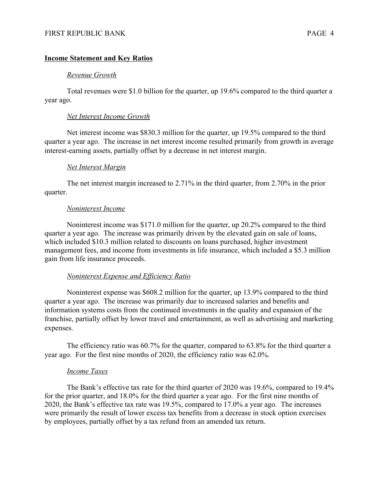#### **Income Statement and Key Ratios**

#### *Revenue Growth*

Total revenues were \$1.0 billion for the quarter, up 19.6% compared to the third quarter a year ago.

#### *Net Interest Income Growth*

Net interest income was \$830.3 million for the quarter, up 19.5% compared to the third quarter a year ago. The increase in net interest income resulted primarily from growth in average interest-earning assets, partially offset by a decrease in net interest margin.

#### *Net Interest Margin*

The net interest margin increased to 2.71% in the third quarter, from 2.70% in the prior quarter.

#### *Noninterest Income*

Noninterest income was \$171.0 million for the quarter, up 20.2% compared to the third quarter a year ago. The increase was primarily driven by the elevated gain on sale of loans, which included \$10.3 million related to discounts on loans purchased, higher investment management fees, and income from investments in life insurance, which included a \$5.3 million gain from life insurance proceeds.

#### *Noninterest Expense and Efficiency Ratio*

Noninterest expense was \$608.2 million for the quarter, up 13.9% compared to the third quarter a year ago. The increase was primarily due to increased salaries and benefits and information systems costs from the continued investments in the quality and expansion of the franchise, partially offset by lower travel and entertainment, as well as advertising and marketing expenses.

The efficiency ratio was 60.7% for the quarter, compared to 63.8% for the third quarter a year ago. For the first nine months of 2020, the efficiency ratio was 62.0%.

#### *Income Taxes*

 The Bank's effective tax rate for the third quarter of 2020 was 19.6%, compared to 19.4% for the prior quarter, and 18.0% for the third quarter a year ago. For the first nine months of 2020, the Bank's effective tax rate was 19.5%, compared to 17.0% a year ago. The increases were primarily the result of lower excess tax benefits from a decrease in stock option exercises by employees, partially offset by a tax refund from an amended tax return.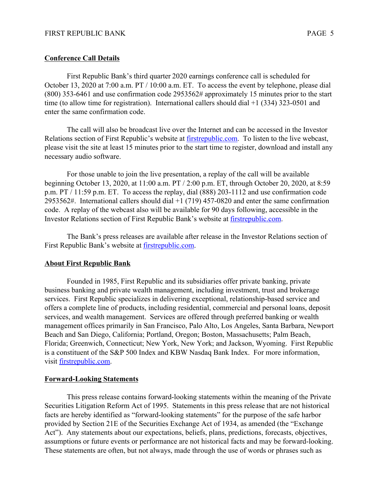# **Conference Call Details**

First Republic Bank's third quarter 2020 earnings conference call is scheduled for October 13, 2020 at 7:00 a.m. PT / 10:00 a.m. ET. To access the event by telephone, please dial (800) 353-6461 and use confirmation code 2953562# approximately 15 minutes prior to the start time (to allow time for registration). International callers should dial +1 (334) 323-0501 and enter the same confirmation code.

The call will also be broadcast live over the Internet and can be accessed in the Investor Relations section of First Republic's website at [firstrepublic.com.](http://www.firstrepublic.com) To listen to the live webcast, please visit the site at least 15 minutes prior to the start time to register, download and install any necessary audio software.

For those unable to join the live presentation, a replay of the call will be available beginning October 13, 2020, at 11:00 a.m. PT / 2:00 p.m. ET, through October 20, 2020, at 8:59 p.m. PT / 11:59 p.m. ET. To access the replay, dial (888) 203-1112 and use confirmation code 2953562#. International callers should dial +1 (719) 457-0820 and enter the same confirmation code. A replay of the webcast also will be available for 90 days following, accessible in the Investor Relations section of First Republic Bank's website at [firstrepublic.com](http://www.firstrepublic.com).

The Bank's press releases are available after release in the Investor Relations section of First Republic Bank's website at [firstrepublic.com.](http://www.firstrepublic.com)

# **About First Republic Bank**

 Founded in 1985, First Republic and its subsidiaries offer private banking, private business banking and private wealth management, including investment, trust and brokerage services. First Republic specializes in delivering exceptional, relationship-based service and offers a complete line of products, including residential, commercial and personal loans, deposit services, and wealth management. Services are offered through preferred banking or wealth management offices primarily in San Francisco, Palo Alto, Los Angeles, Santa Barbara, Newport Beach and San Diego, California; Portland, Oregon; Boston, Massachusetts; Palm Beach, Florida; Greenwich, Connecticut; New York, New York; and Jackson, Wyoming. First Republic is a constituent of the S&P 500 Index and KBW Nasdaq Bank Index. For more information, visit [firstrepublic.com.](http://www.firstrepublic.com)

#### **Forward-Looking Statements**

This press release contains forward-looking statements within the meaning of the Private Securities Litigation Reform Act of 1995. Statements in this press release that are not historical facts are hereby identified as "forward-looking statements" for the purpose of the safe harbor provided by Section 21E of the Securities Exchange Act of 1934, as amended (the "Exchange Act"). Any statements about our expectations, beliefs, plans, predictions, forecasts, objectives, assumptions or future events or performance are not historical facts and may be forward-looking. These statements are often, but not always, made through the use of words or phrases such as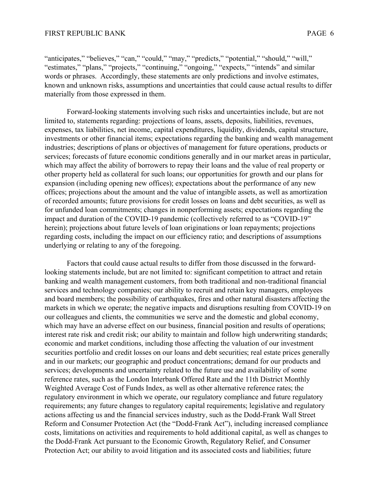"anticipates," "believes," "can," "could," "may," "predicts," "potential," "should," "will," "estimates," "plans," "projects," "continuing," "ongoing," "expects," "intends" and similar words or phrases. Accordingly, these statements are only predictions and involve estimates, known and unknown risks, assumptions and uncertainties that could cause actual results to differ materially from those expressed in them.

 Forward-looking statements involving such risks and uncertainties include, but are not limited to, statements regarding: projections of loans, assets, deposits, liabilities, revenues, expenses, tax liabilities, net income, capital expenditures, liquidity, dividends, capital structure, investments or other financial items; expectations regarding the banking and wealth management industries; descriptions of plans or objectives of management for future operations, products or services; forecasts of future economic conditions generally and in our market areas in particular, which may affect the ability of borrowers to repay their loans and the value of real property or other property held as collateral for such loans; our opportunities for growth and our plans for expansion (including opening new offices); expectations about the performance of any new offices; projections about the amount and the value of intangible assets, as well as amortization of recorded amounts; future provisions for credit losses on loans and debt securities, as well as for unfunded loan commitments; changes in nonperforming assets; expectations regarding the impact and duration of the COVID-19 pandemic (collectively referred to as "COVID-19" herein); projections about future levels of loan originations or loan repayments; projections regarding costs, including the impact on our efficiency ratio; and descriptions of assumptions underlying or relating to any of the foregoing.

 Factors that could cause actual results to differ from those discussed in the forwardlooking statements include, but are not limited to: significant competition to attract and retain banking and wealth management customers, from both traditional and non-traditional financial services and technology companies; our ability to recruit and retain key managers, employees and board members; the possibility of earthquakes, fires and other natural disasters affecting the markets in which we operate; the negative impacts and disruptions resulting from COVID-19 on our colleagues and clients, the communities we serve and the domestic and global economy, which may have an adverse effect on our business, financial position and results of operations; interest rate risk and credit risk; our ability to maintain and follow high underwriting standards; economic and market conditions, including those affecting the valuation of our investment securities portfolio and credit losses on our loans and debt securities; real estate prices generally and in our markets; our geographic and product concentrations; demand for our products and services; developments and uncertainty related to the future use and availability of some reference rates, such as the London Interbank Offered Rate and the 11th District Monthly Weighted Average Cost of Funds Index, as well as other alternative reference rates; the regulatory environment in which we operate, our regulatory compliance and future regulatory requirements; any future changes to regulatory capital requirements; legislative and regulatory actions affecting us and the financial services industry, such as the Dodd-Frank Wall Street Reform and Consumer Protection Act (the "Dodd-Frank Act"), including increased compliance costs, limitations on activities and requirements to hold additional capital, as well as changes to the Dodd-Frank Act pursuant to the Economic Growth, Regulatory Relief, and Consumer Protection Act; our ability to avoid litigation and its associated costs and liabilities; future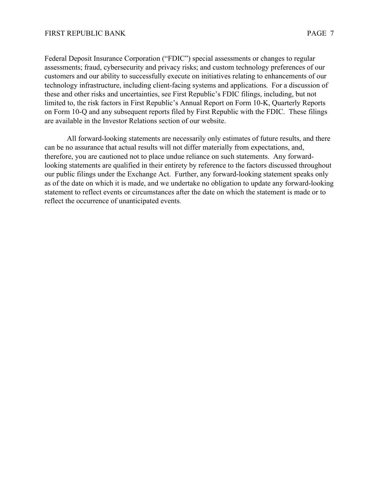Federal Deposit Insurance Corporation ("FDIC") special assessments or changes to regular assessments; fraud, cybersecurity and privacy risks; and custom technology preferences of our customers and our ability to successfully execute on initiatives relating to enhancements of our technology infrastructure, including client-facing systems and applications. For a discussion of these and other risks and uncertainties, see First Republic's FDIC filings, including, but not limited to, the risk factors in First Republic's Annual Report on Form 10-K, Quarterly Reports on Form 10-Q and any subsequent reports filed by First Republic with the FDIC. These filings are available in the Investor Relations section of our website.

All forward-looking statements are necessarily only estimates of future results, and there can be no assurance that actual results will not differ materially from expectations, and, therefore, you are cautioned not to place undue reliance on such statements. Any forwardlooking statements are qualified in their entirety by reference to the factors discussed throughout our public filings under the Exchange Act. Further, any forward-looking statement speaks only as of the date on which it is made, and we undertake no obligation to update any forward-looking statement to reflect events or circumstances after the date on which the statement is made or to reflect the occurrence of unanticipated events.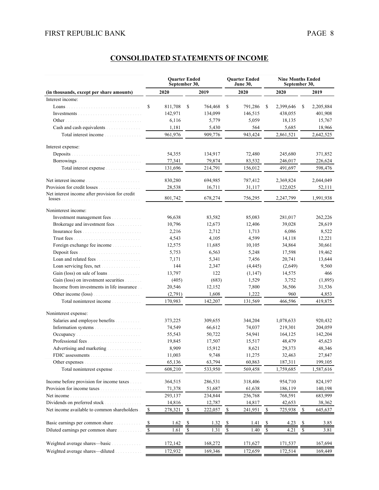| 2020<br>2019<br>2020<br>2020<br>2019<br>(in thousands, except per share amounts)<br>Interest income:<br>\$<br>811,708<br>S<br>764,468<br>\$<br>791,286<br>\$<br>2,399,646<br>\$<br>2,205,884<br>142,971<br>134,099<br>146,515<br>438,055<br>401,908<br>6,116<br>5,779<br>5,059<br>18,135<br>15,767<br>Other<br>Cash and cash equivalents<br>564<br>18,966<br>1,181<br>5,430<br>5,685<br>961,976<br>943,424<br>909,776<br>2,861,521<br>2,642,525<br>Total interest income<br>Interest expense:<br>Deposits<br>54,355<br>134,917<br>72,480<br>245,680<br>371,852<br>77,341<br>79,874<br>83,532<br>Borrowings<br>246,017<br>226,624<br>598,476<br>131,696<br>214,791<br>156,012<br>491.697<br>Total interest expense <i>manufacturer</i><br>830,280<br>694,985<br>2,369,824<br>2,044,049<br>787,412<br>Provision for credit losses<br>28,538<br>122,025<br>16,711<br>31,117<br>52,111<br>Net interest income after provision for credit<br>801,742<br>678,274<br>2,247,799<br>1,991,938<br>756,295<br>Noninterest income:<br>Investment management fees<br>96,638<br>83,582<br>85,083<br>281,017<br>262,226<br>Brokerage and investment fees<br>10,796<br>12,673<br>12,406<br>39,028<br>28,619<br>2,216<br>6,086<br>8,522<br>2,712<br>1,713<br>4,543<br>4,599<br>4,105<br>14,118<br>12,221<br>30,661<br>Foreign exchange fee income<br>12,575<br>11,685<br>10,105<br>34,864<br>Deposit fees.<br>5,753<br>6,563<br>5,248<br>17,598<br>19,462<br>Loan and related fees<br>7,456<br>7,171<br>5,341<br>20,741<br>13,644<br>Loan servicing fees, net<br>144<br>2,347<br>(4, 445)<br>(2,649)<br>9,560<br>Gain (loss) on sale of loans<br>13,797<br>122<br>(1, 147)<br>14,575<br>466<br>Gain (loss) on investment securities<br>(405)<br>(683)<br>1,529<br>3,752<br>(1,895)<br>Income from investments in life insurance<br>7,800<br>20,546<br>12,152<br>36,506<br>31,536<br>Other income (loss)<br>(2,791)<br>1,608<br>1,222<br>960<br>4,853<br>170,983<br>142,207<br>131,569<br>466,596<br>419,875<br>Total noninterest income<br>Noninterest expense:<br>1,078,633<br>Salaries and employee benefits<br>373,225<br>309,655<br>344,204<br>920,432<br>74,549<br>66,612<br>74,037<br>219,301<br>204,059<br>55,543<br>50,722<br>54,941<br>164,125<br>142,204<br>Professional fees<br>19,845<br>17,507<br>15,517<br>48,479<br>45,623<br>Advertising and marketing <i>marketing</i><br>8,909<br>15,912<br>8,621<br>29,373<br>48,346<br>9,748<br>11,003<br>11,275<br>27,847<br>32,463<br>FDIC assessments<br>.<br>65,136<br>63,794<br>60,863<br>187,311<br>199,105<br>Other expenses<br>608,210<br>533,950<br>569,458<br>1,759,685<br>1,587,616<br>Total noninterest expense<br>Income before provision for income taxes<br>954,710<br>824,197<br>364,515<br>286,531<br>318,406<br>Provision for income taxes.<br>71,378<br>51,687<br>61,638<br>186,119<br>140,198<br>683,999<br>293,137<br>234,844<br>256,768<br>Net income.<br>768,591<br>Dividends on preferred stock.<br>14,816<br>12,787<br>14,817<br>42,653<br>38,362<br>Net income available to common shareholders.<br>$\mathbb{S}$<br>278,321<br>222,057<br>\$<br>241,951<br>\$<br>725,938<br>$\mathbb{S}$<br>645,637<br>\$<br>Basic earnings per common share<br>$\frac{\mathsf{s}}{\mathsf{s}}$<br>1.62<br>1.32<br>1.41<br>4.23<br>3.85<br><u>\$</u><br>$\frac{1}{2}$<br><u>s</u><br>$\overline{\mathcal{F}}$<br>Diluted earnings per common share<br>$\overline{\mathcal{L}}$<br>1.31<br>1.40<br>1.61<br>$\sqrt{\frac{2}{5}}$<br>4.21<br>$\overline{\mathcal{L}}$<br>3.81<br>\$<br>\$<br>Weighted average shares-basic<br>172,142<br>167,694<br>168,272<br>171,627<br>171,537<br>Weighted average shares—diluted<br>172,932<br>169,346<br>172,659<br>172,514<br>169,449 |  | <b>Ouarter Ended</b><br>September 30, | <b>Quarter Ended</b><br><b>June 30,</b> | <b>Nine Months Ended</b><br>September 30, |  |  |  |  |
|-----------------------------------------------------------------------------------------------------------------------------------------------------------------------------------------------------------------------------------------------------------------------------------------------------------------------------------------------------------------------------------------------------------------------------------------------------------------------------------------------------------------------------------------------------------------------------------------------------------------------------------------------------------------------------------------------------------------------------------------------------------------------------------------------------------------------------------------------------------------------------------------------------------------------------------------------------------------------------------------------------------------------------------------------------------------------------------------------------------------------------------------------------------------------------------------------------------------------------------------------------------------------------------------------------------------------------------------------------------------------------------------------------------------------------------------------------------------------------------------------------------------------------------------------------------------------------------------------------------------------------------------------------------------------------------------------------------------------------------------------------------------------------------------------------------------------------------------------------------------------------------------------------------------------------------------------------------------------------------------------------------------------------------------------------------------------------------------------------------------------------------------------------------------------------------------------------------------------------------------------------------------------------------------------------------------------------------------------------------------------------------------------------------------------------------------------------------------------------------------------------------------------------------------------------------------------------------------------------------------------------------------------------------------------------------------------------------------------------------------------------------------------------------------------------------------------------------------------------------------------------------------------------------------------------------------------------------------------------------------------------------------------------------------------------------------------------------------------------------------------------------------------------------------------------------------------------------------------------------------------------------------------------------------------------------------------------------------------------------------------------------------------------------------------------------------------------------------------------------------------------------------------------------------------------------------------------------------------------------------------------------------------------------------------------------------------------------------------|--|---------------------------------------|-----------------------------------------|-------------------------------------------|--|--|--|--|
|                                                                                                                                                                                                                                                                                                                                                                                                                                                                                                                                                                                                                                                                                                                                                                                                                                                                                                                                                                                                                                                                                                                                                                                                                                                                                                                                                                                                                                                                                                                                                                                                                                                                                                                                                                                                                                                                                                                                                                                                                                                                                                                                                                                                                                                                                                                                                                                                                                                                                                                                                                                                                                                                                                                                                                                                                                                                                                                                                                                                                                                                                                                                                                                                                                                                                                                                                                                                                                                                                                                                                                                                                                                                                                                       |  |                                       |                                         |                                           |  |  |  |  |
|                                                                                                                                                                                                                                                                                                                                                                                                                                                                                                                                                                                                                                                                                                                                                                                                                                                                                                                                                                                                                                                                                                                                                                                                                                                                                                                                                                                                                                                                                                                                                                                                                                                                                                                                                                                                                                                                                                                                                                                                                                                                                                                                                                                                                                                                                                                                                                                                                                                                                                                                                                                                                                                                                                                                                                                                                                                                                                                                                                                                                                                                                                                                                                                                                                                                                                                                                                                                                                                                                                                                                                                                                                                                                                                       |  |                                       |                                         |                                           |  |  |  |  |
|                                                                                                                                                                                                                                                                                                                                                                                                                                                                                                                                                                                                                                                                                                                                                                                                                                                                                                                                                                                                                                                                                                                                                                                                                                                                                                                                                                                                                                                                                                                                                                                                                                                                                                                                                                                                                                                                                                                                                                                                                                                                                                                                                                                                                                                                                                                                                                                                                                                                                                                                                                                                                                                                                                                                                                                                                                                                                                                                                                                                                                                                                                                                                                                                                                                                                                                                                                                                                                                                                                                                                                                                                                                                                                                       |  |                                       |                                         |                                           |  |  |  |  |
|                                                                                                                                                                                                                                                                                                                                                                                                                                                                                                                                                                                                                                                                                                                                                                                                                                                                                                                                                                                                                                                                                                                                                                                                                                                                                                                                                                                                                                                                                                                                                                                                                                                                                                                                                                                                                                                                                                                                                                                                                                                                                                                                                                                                                                                                                                                                                                                                                                                                                                                                                                                                                                                                                                                                                                                                                                                                                                                                                                                                                                                                                                                                                                                                                                                                                                                                                                                                                                                                                                                                                                                                                                                                                                                       |  |                                       |                                         |                                           |  |  |  |  |
|                                                                                                                                                                                                                                                                                                                                                                                                                                                                                                                                                                                                                                                                                                                                                                                                                                                                                                                                                                                                                                                                                                                                                                                                                                                                                                                                                                                                                                                                                                                                                                                                                                                                                                                                                                                                                                                                                                                                                                                                                                                                                                                                                                                                                                                                                                                                                                                                                                                                                                                                                                                                                                                                                                                                                                                                                                                                                                                                                                                                                                                                                                                                                                                                                                                                                                                                                                                                                                                                                                                                                                                                                                                                                                                       |  |                                       |                                         |                                           |  |  |  |  |
|                                                                                                                                                                                                                                                                                                                                                                                                                                                                                                                                                                                                                                                                                                                                                                                                                                                                                                                                                                                                                                                                                                                                                                                                                                                                                                                                                                                                                                                                                                                                                                                                                                                                                                                                                                                                                                                                                                                                                                                                                                                                                                                                                                                                                                                                                                                                                                                                                                                                                                                                                                                                                                                                                                                                                                                                                                                                                                                                                                                                                                                                                                                                                                                                                                                                                                                                                                                                                                                                                                                                                                                                                                                                                                                       |  |                                       |                                         |                                           |  |  |  |  |
|                                                                                                                                                                                                                                                                                                                                                                                                                                                                                                                                                                                                                                                                                                                                                                                                                                                                                                                                                                                                                                                                                                                                                                                                                                                                                                                                                                                                                                                                                                                                                                                                                                                                                                                                                                                                                                                                                                                                                                                                                                                                                                                                                                                                                                                                                                                                                                                                                                                                                                                                                                                                                                                                                                                                                                                                                                                                                                                                                                                                                                                                                                                                                                                                                                                                                                                                                                                                                                                                                                                                                                                                                                                                                                                       |  |                                       |                                         |                                           |  |  |  |  |
|                                                                                                                                                                                                                                                                                                                                                                                                                                                                                                                                                                                                                                                                                                                                                                                                                                                                                                                                                                                                                                                                                                                                                                                                                                                                                                                                                                                                                                                                                                                                                                                                                                                                                                                                                                                                                                                                                                                                                                                                                                                                                                                                                                                                                                                                                                                                                                                                                                                                                                                                                                                                                                                                                                                                                                                                                                                                                                                                                                                                                                                                                                                                                                                                                                                                                                                                                                                                                                                                                                                                                                                                                                                                                                                       |  |                                       |                                         |                                           |  |  |  |  |
|                                                                                                                                                                                                                                                                                                                                                                                                                                                                                                                                                                                                                                                                                                                                                                                                                                                                                                                                                                                                                                                                                                                                                                                                                                                                                                                                                                                                                                                                                                                                                                                                                                                                                                                                                                                                                                                                                                                                                                                                                                                                                                                                                                                                                                                                                                                                                                                                                                                                                                                                                                                                                                                                                                                                                                                                                                                                                                                                                                                                                                                                                                                                                                                                                                                                                                                                                                                                                                                                                                                                                                                                                                                                                                                       |  |                                       |                                         |                                           |  |  |  |  |
|                                                                                                                                                                                                                                                                                                                                                                                                                                                                                                                                                                                                                                                                                                                                                                                                                                                                                                                                                                                                                                                                                                                                                                                                                                                                                                                                                                                                                                                                                                                                                                                                                                                                                                                                                                                                                                                                                                                                                                                                                                                                                                                                                                                                                                                                                                                                                                                                                                                                                                                                                                                                                                                                                                                                                                                                                                                                                                                                                                                                                                                                                                                                                                                                                                                                                                                                                                                                                                                                                                                                                                                                                                                                                                                       |  |                                       |                                         |                                           |  |  |  |  |
|                                                                                                                                                                                                                                                                                                                                                                                                                                                                                                                                                                                                                                                                                                                                                                                                                                                                                                                                                                                                                                                                                                                                                                                                                                                                                                                                                                                                                                                                                                                                                                                                                                                                                                                                                                                                                                                                                                                                                                                                                                                                                                                                                                                                                                                                                                                                                                                                                                                                                                                                                                                                                                                                                                                                                                                                                                                                                                                                                                                                                                                                                                                                                                                                                                                                                                                                                                                                                                                                                                                                                                                                                                                                                                                       |  |                                       |                                         |                                           |  |  |  |  |
|                                                                                                                                                                                                                                                                                                                                                                                                                                                                                                                                                                                                                                                                                                                                                                                                                                                                                                                                                                                                                                                                                                                                                                                                                                                                                                                                                                                                                                                                                                                                                                                                                                                                                                                                                                                                                                                                                                                                                                                                                                                                                                                                                                                                                                                                                                                                                                                                                                                                                                                                                                                                                                                                                                                                                                                                                                                                                                                                                                                                                                                                                                                                                                                                                                                                                                                                                                                                                                                                                                                                                                                                                                                                                                                       |  |                                       |                                         |                                           |  |  |  |  |
|                                                                                                                                                                                                                                                                                                                                                                                                                                                                                                                                                                                                                                                                                                                                                                                                                                                                                                                                                                                                                                                                                                                                                                                                                                                                                                                                                                                                                                                                                                                                                                                                                                                                                                                                                                                                                                                                                                                                                                                                                                                                                                                                                                                                                                                                                                                                                                                                                                                                                                                                                                                                                                                                                                                                                                                                                                                                                                                                                                                                                                                                                                                                                                                                                                                                                                                                                                                                                                                                                                                                                                                                                                                                                                                       |  |                                       |                                         |                                           |  |  |  |  |
|                                                                                                                                                                                                                                                                                                                                                                                                                                                                                                                                                                                                                                                                                                                                                                                                                                                                                                                                                                                                                                                                                                                                                                                                                                                                                                                                                                                                                                                                                                                                                                                                                                                                                                                                                                                                                                                                                                                                                                                                                                                                                                                                                                                                                                                                                                                                                                                                                                                                                                                                                                                                                                                                                                                                                                                                                                                                                                                                                                                                                                                                                                                                                                                                                                                                                                                                                                                                                                                                                                                                                                                                                                                                                                                       |  |                                       |                                         |                                           |  |  |  |  |
|                                                                                                                                                                                                                                                                                                                                                                                                                                                                                                                                                                                                                                                                                                                                                                                                                                                                                                                                                                                                                                                                                                                                                                                                                                                                                                                                                                                                                                                                                                                                                                                                                                                                                                                                                                                                                                                                                                                                                                                                                                                                                                                                                                                                                                                                                                                                                                                                                                                                                                                                                                                                                                                                                                                                                                                                                                                                                                                                                                                                                                                                                                                                                                                                                                                                                                                                                                                                                                                                                                                                                                                                                                                                                                                       |  |                                       |                                         |                                           |  |  |  |  |
|                                                                                                                                                                                                                                                                                                                                                                                                                                                                                                                                                                                                                                                                                                                                                                                                                                                                                                                                                                                                                                                                                                                                                                                                                                                                                                                                                                                                                                                                                                                                                                                                                                                                                                                                                                                                                                                                                                                                                                                                                                                                                                                                                                                                                                                                                                                                                                                                                                                                                                                                                                                                                                                                                                                                                                                                                                                                                                                                                                                                                                                                                                                                                                                                                                                                                                                                                                                                                                                                                                                                                                                                                                                                                                                       |  |                                       |                                         |                                           |  |  |  |  |
|                                                                                                                                                                                                                                                                                                                                                                                                                                                                                                                                                                                                                                                                                                                                                                                                                                                                                                                                                                                                                                                                                                                                                                                                                                                                                                                                                                                                                                                                                                                                                                                                                                                                                                                                                                                                                                                                                                                                                                                                                                                                                                                                                                                                                                                                                                                                                                                                                                                                                                                                                                                                                                                                                                                                                                                                                                                                                                                                                                                                                                                                                                                                                                                                                                                                                                                                                                                                                                                                                                                                                                                                                                                                                                                       |  |                                       |                                         |                                           |  |  |  |  |
|                                                                                                                                                                                                                                                                                                                                                                                                                                                                                                                                                                                                                                                                                                                                                                                                                                                                                                                                                                                                                                                                                                                                                                                                                                                                                                                                                                                                                                                                                                                                                                                                                                                                                                                                                                                                                                                                                                                                                                                                                                                                                                                                                                                                                                                                                                                                                                                                                                                                                                                                                                                                                                                                                                                                                                                                                                                                                                                                                                                                                                                                                                                                                                                                                                                                                                                                                                                                                                                                                                                                                                                                                                                                                                                       |  |                                       |                                         |                                           |  |  |  |  |
|                                                                                                                                                                                                                                                                                                                                                                                                                                                                                                                                                                                                                                                                                                                                                                                                                                                                                                                                                                                                                                                                                                                                                                                                                                                                                                                                                                                                                                                                                                                                                                                                                                                                                                                                                                                                                                                                                                                                                                                                                                                                                                                                                                                                                                                                                                                                                                                                                                                                                                                                                                                                                                                                                                                                                                                                                                                                                                                                                                                                                                                                                                                                                                                                                                                                                                                                                                                                                                                                                                                                                                                                                                                                                                                       |  |                                       |                                         |                                           |  |  |  |  |
|                                                                                                                                                                                                                                                                                                                                                                                                                                                                                                                                                                                                                                                                                                                                                                                                                                                                                                                                                                                                                                                                                                                                                                                                                                                                                                                                                                                                                                                                                                                                                                                                                                                                                                                                                                                                                                                                                                                                                                                                                                                                                                                                                                                                                                                                                                                                                                                                                                                                                                                                                                                                                                                                                                                                                                                                                                                                                                                                                                                                                                                                                                                                                                                                                                                                                                                                                                                                                                                                                                                                                                                                                                                                                                                       |  |                                       |                                         |                                           |  |  |  |  |
|                                                                                                                                                                                                                                                                                                                                                                                                                                                                                                                                                                                                                                                                                                                                                                                                                                                                                                                                                                                                                                                                                                                                                                                                                                                                                                                                                                                                                                                                                                                                                                                                                                                                                                                                                                                                                                                                                                                                                                                                                                                                                                                                                                                                                                                                                                                                                                                                                                                                                                                                                                                                                                                                                                                                                                                                                                                                                                                                                                                                                                                                                                                                                                                                                                                                                                                                                                                                                                                                                                                                                                                                                                                                                                                       |  |                                       |                                         |                                           |  |  |  |  |
|                                                                                                                                                                                                                                                                                                                                                                                                                                                                                                                                                                                                                                                                                                                                                                                                                                                                                                                                                                                                                                                                                                                                                                                                                                                                                                                                                                                                                                                                                                                                                                                                                                                                                                                                                                                                                                                                                                                                                                                                                                                                                                                                                                                                                                                                                                                                                                                                                                                                                                                                                                                                                                                                                                                                                                                                                                                                                                                                                                                                                                                                                                                                                                                                                                                                                                                                                                                                                                                                                                                                                                                                                                                                                                                       |  |                                       |                                         |                                           |  |  |  |  |
|                                                                                                                                                                                                                                                                                                                                                                                                                                                                                                                                                                                                                                                                                                                                                                                                                                                                                                                                                                                                                                                                                                                                                                                                                                                                                                                                                                                                                                                                                                                                                                                                                                                                                                                                                                                                                                                                                                                                                                                                                                                                                                                                                                                                                                                                                                                                                                                                                                                                                                                                                                                                                                                                                                                                                                                                                                                                                                                                                                                                                                                                                                                                                                                                                                                                                                                                                                                                                                                                                                                                                                                                                                                                                                                       |  |                                       |                                         |                                           |  |  |  |  |
|                                                                                                                                                                                                                                                                                                                                                                                                                                                                                                                                                                                                                                                                                                                                                                                                                                                                                                                                                                                                                                                                                                                                                                                                                                                                                                                                                                                                                                                                                                                                                                                                                                                                                                                                                                                                                                                                                                                                                                                                                                                                                                                                                                                                                                                                                                                                                                                                                                                                                                                                                                                                                                                                                                                                                                                                                                                                                                                                                                                                                                                                                                                                                                                                                                                                                                                                                                                                                                                                                                                                                                                                                                                                                                                       |  |                                       |                                         |                                           |  |  |  |  |
|                                                                                                                                                                                                                                                                                                                                                                                                                                                                                                                                                                                                                                                                                                                                                                                                                                                                                                                                                                                                                                                                                                                                                                                                                                                                                                                                                                                                                                                                                                                                                                                                                                                                                                                                                                                                                                                                                                                                                                                                                                                                                                                                                                                                                                                                                                                                                                                                                                                                                                                                                                                                                                                                                                                                                                                                                                                                                                                                                                                                                                                                                                                                                                                                                                                                                                                                                                                                                                                                                                                                                                                                                                                                                                                       |  |                                       |                                         |                                           |  |  |  |  |
|                                                                                                                                                                                                                                                                                                                                                                                                                                                                                                                                                                                                                                                                                                                                                                                                                                                                                                                                                                                                                                                                                                                                                                                                                                                                                                                                                                                                                                                                                                                                                                                                                                                                                                                                                                                                                                                                                                                                                                                                                                                                                                                                                                                                                                                                                                                                                                                                                                                                                                                                                                                                                                                                                                                                                                                                                                                                                                                                                                                                                                                                                                                                                                                                                                                                                                                                                                                                                                                                                                                                                                                                                                                                                                                       |  |                                       |                                         |                                           |  |  |  |  |
|                                                                                                                                                                                                                                                                                                                                                                                                                                                                                                                                                                                                                                                                                                                                                                                                                                                                                                                                                                                                                                                                                                                                                                                                                                                                                                                                                                                                                                                                                                                                                                                                                                                                                                                                                                                                                                                                                                                                                                                                                                                                                                                                                                                                                                                                                                                                                                                                                                                                                                                                                                                                                                                                                                                                                                                                                                                                                                                                                                                                                                                                                                                                                                                                                                                                                                                                                                                                                                                                                                                                                                                                                                                                                                                       |  |                                       |                                         |                                           |  |  |  |  |
|                                                                                                                                                                                                                                                                                                                                                                                                                                                                                                                                                                                                                                                                                                                                                                                                                                                                                                                                                                                                                                                                                                                                                                                                                                                                                                                                                                                                                                                                                                                                                                                                                                                                                                                                                                                                                                                                                                                                                                                                                                                                                                                                                                                                                                                                                                                                                                                                                                                                                                                                                                                                                                                                                                                                                                                                                                                                                                                                                                                                                                                                                                                                                                                                                                                                                                                                                                                                                                                                                                                                                                                                                                                                                                                       |  |                                       |                                         |                                           |  |  |  |  |
|                                                                                                                                                                                                                                                                                                                                                                                                                                                                                                                                                                                                                                                                                                                                                                                                                                                                                                                                                                                                                                                                                                                                                                                                                                                                                                                                                                                                                                                                                                                                                                                                                                                                                                                                                                                                                                                                                                                                                                                                                                                                                                                                                                                                                                                                                                                                                                                                                                                                                                                                                                                                                                                                                                                                                                                                                                                                                                                                                                                                                                                                                                                                                                                                                                                                                                                                                                                                                                                                                                                                                                                                                                                                                                                       |  |                                       |                                         |                                           |  |  |  |  |
|                                                                                                                                                                                                                                                                                                                                                                                                                                                                                                                                                                                                                                                                                                                                                                                                                                                                                                                                                                                                                                                                                                                                                                                                                                                                                                                                                                                                                                                                                                                                                                                                                                                                                                                                                                                                                                                                                                                                                                                                                                                                                                                                                                                                                                                                                                                                                                                                                                                                                                                                                                                                                                                                                                                                                                                                                                                                                                                                                                                                                                                                                                                                                                                                                                                                                                                                                                                                                                                                                                                                                                                                                                                                                                                       |  |                                       |                                         |                                           |  |  |  |  |
|                                                                                                                                                                                                                                                                                                                                                                                                                                                                                                                                                                                                                                                                                                                                                                                                                                                                                                                                                                                                                                                                                                                                                                                                                                                                                                                                                                                                                                                                                                                                                                                                                                                                                                                                                                                                                                                                                                                                                                                                                                                                                                                                                                                                                                                                                                                                                                                                                                                                                                                                                                                                                                                                                                                                                                                                                                                                                                                                                                                                                                                                                                                                                                                                                                                                                                                                                                                                                                                                                                                                                                                                                                                                                                                       |  |                                       |                                         |                                           |  |  |  |  |
|                                                                                                                                                                                                                                                                                                                                                                                                                                                                                                                                                                                                                                                                                                                                                                                                                                                                                                                                                                                                                                                                                                                                                                                                                                                                                                                                                                                                                                                                                                                                                                                                                                                                                                                                                                                                                                                                                                                                                                                                                                                                                                                                                                                                                                                                                                                                                                                                                                                                                                                                                                                                                                                                                                                                                                                                                                                                                                                                                                                                                                                                                                                                                                                                                                                                                                                                                                                                                                                                                                                                                                                                                                                                                                                       |  |                                       |                                         |                                           |  |  |  |  |
|                                                                                                                                                                                                                                                                                                                                                                                                                                                                                                                                                                                                                                                                                                                                                                                                                                                                                                                                                                                                                                                                                                                                                                                                                                                                                                                                                                                                                                                                                                                                                                                                                                                                                                                                                                                                                                                                                                                                                                                                                                                                                                                                                                                                                                                                                                                                                                                                                                                                                                                                                                                                                                                                                                                                                                                                                                                                                                                                                                                                                                                                                                                                                                                                                                                                                                                                                                                                                                                                                                                                                                                                                                                                                                                       |  |                                       |                                         |                                           |  |  |  |  |
|                                                                                                                                                                                                                                                                                                                                                                                                                                                                                                                                                                                                                                                                                                                                                                                                                                                                                                                                                                                                                                                                                                                                                                                                                                                                                                                                                                                                                                                                                                                                                                                                                                                                                                                                                                                                                                                                                                                                                                                                                                                                                                                                                                                                                                                                                                                                                                                                                                                                                                                                                                                                                                                                                                                                                                                                                                                                                                                                                                                                                                                                                                                                                                                                                                                                                                                                                                                                                                                                                                                                                                                                                                                                                                                       |  |                                       |                                         |                                           |  |  |  |  |
|                                                                                                                                                                                                                                                                                                                                                                                                                                                                                                                                                                                                                                                                                                                                                                                                                                                                                                                                                                                                                                                                                                                                                                                                                                                                                                                                                                                                                                                                                                                                                                                                                                                                                                                                                                                                                                                                                                                                                                                                                                                                                                                                                                                                                                                                                                                                                                                                                                                                                                                                                                                                                                                                                                                                                                                                                                                                                                                                                                                                                                                                                                                                                                                                                                                                                                                                                                                                                                                                                                                                                                                                                                                                                                                       |  |                                       |                                         |                                           |  |  |  |  |
|                                                                                                                                                                                                                                                                                                                                                                                                                                                                                                                                                                                                                                                                                                                                                                                                                                                                                                                                                                                                                                                                                                                                                                                                                                                                                                                                                                                                                                                                                                                                                                                                                                                                                                                                                                                                                                                                                                                                                                                                                                                                                                                                                                                                                                                                                                                                                                                                                                                                                                                                                                                                                                                                                                                                                                                                                                                                                                                                                                                                                                                                                                                                                                                                                                                                                                                                                                                                                                                                                                                                                                                                                                                                                                                       |  |                                       |                                         |                                           |  |  |  |  |
|                                                                                                                                                                                                                                                                                                                                                                                                                                                                                                                                                                                                                                                                                                                                                                                                                                                                                                                                                                                                                                                                                                                                                                                                                                                                                                                                                                                                                                                                                                                                                                                                                                                                                                                                                                                                                                                                                                                                                                                                                                                                                                                                                                                                                                                                                                                                                                                                                                                                                                                                                                                                                                                                                                                                                                                                                                                                                                                                                                                                                                                                                                                                                                                                                                                                                                                                                                                                                                                                                                                                                                                                                                                                                                                       |  |                                       |                                         |                                           |  |  |  |  |
|                                                                                                                                                                                                                                                                                                                                                                                                                                                                                                                                                                                                                                                                                                                                                                                                                                                                                                                                                                                                                                                                                                                                                                                                                                                                                                                                                                                                                                                                                                                                                                                                                                                                                                                                                                                                                                                                                                                                                                                                                                                                                                                                                                                                                                                                                                                                                                                                                                                                                                                                                                                                                                                                                                                                                                                                                                                                                                                                                                                                                                                                                                                                                                                                                                                                                                                                                                                                                                                                                                                                                                                                                                                                                                                       |  |                                       |                                         |                                           |  |  |  |  |
|                                                                                                                                                                                                                                                                                                                                                                                                                                                                                                                                                                                                                                                                                                                                                                                                                                                                                                                                                                                                                                                                                                                                                                                                                                                                                                                                                                                                                                                                                                                                                                                                                                                                                                                                                                                                                                                                                                                                                                                                                                                                                                                                                                                                                                                                                                                                                                                                                                                                                                                                                                                                                                                                                                                                                                                                                                                                                                                                                                                                                                                                                                                                                                                                                                                                                                                                                                                                                                                                                                                                                                                                                                                                                                                       |  |                                       |                                         |                                           |  |  |  |  |
|                                                                                                                                                                                                                                                                                                                                                                                                                                                                                                                                                                                                                                                                                                                                                                                                                                                                                                                                                                                                                                                                                                                                                                                                                                                                                                                                                                                                                                                                                                                                                                                                                                                                                                                                                                                                                                                                                                                                                                                                                                                                                                                                                                                                                                                                                                                                                                                                                                                                                                                                                                                                                                                                                                                                                                                                                                                                                                                                                                                                                                                                                                                                                                                                                                                                                                                                                                                                                                                                                                                                                                                                                                                                                                                       |  |                                       |                                         |                                           |  |  |  |  |
|                                                                                                                                                                                                                                                                                                                                                                                                                                                                                                                                                                                                                                                                                                                                                                                                                                                                                                                                                                                                                                                                                                                                                                                                                                                                                                                                                                                                                                                                                                                                                                                                                                                                                                                                                                                                                                                                                                                                                                                                                                                                                                                                                                                                                                                                                                                                                                                                                                                                                                                                                                                                                                                                                                                                                                                                                                                                                                                                                                                                                                                                                                                                                                                                                                                                                                                                                                                                                                                                                                                                                                                                                                                                                                                       |  |                                       |                                         |                                           |  |  |  |  |
|                                                                                                                                                                                                                                                                                                                                                                                                                                                                                                                                                                                                                                                                                                                                                                                                                                                                                                                                                                                                                                                                                                                                                                                                                                                                                                                                                                                                                                                                                                                                                                                                                                                                                                                                                                                                                                                                                                                                                                                                                                                                                                                                                                                                                                                                                                                                                                                                                                                                                                                                                                                                                                                                                                                                                                                                                                                                                                                                                                                                                                                                                                                                                                                                                                                                                                                                                                                                                                                                                                                                                                                                                                                                                                                       |  |                                       |                                         |                                           |  |  |  |  |
|                                                                                                                                                                                                                                                                                                                                                                                                                                                                                                                                                                                                                                                                                                                                                                                                                                                                                                                                                                                                                                                                                                                                                                                                                                                                                                                                                                                                                                                                                                                                                                                                                                                                                                                                                                                                                                                                                                                                                                                                                                                                                                                                                                                                                                                                                                                                                                                                                                                                                                                                                                                                                                                                                                                                                                                                                                                                                                                                                                                                                                                                                                                                                                                                                                                                                                                                                                                                                                                                                                                                                                                                                                                                                                                       |  |                                       |                                         |                                           |  |  |  |  |
|                                                                                                                                                                                                                                                                                                                                                                                                                                                                                                                                                                                                                                                                                                                                                                                                                                                                                                                                                                                                                                                                                                                                                                                                                                                                                                                                                                                                                                                                                                                                                                                                                                                                                                                                                                                                                                                                                                                                                                                                                                                                                                                                                                                                                                                                                                                                                                                                                                                                                                                                                                                                                                                                                                                                                                                                                                                                                                                                                                                                                                                                                                                                                                                                                                                                                                                                                                                                                                                                                                                                                                                                                                                                                                                       |  |                                       |                                         |                                           |  |  |  |  |
|                                                                                                                                                                                                                                                                                                                                                                                                                                                                                                                                                                                                                                                                                                                                                                                                                                                                                                                                                                                                                                                                                                                                                                                                                                                                                                                                                                                                                                                                                                                                                                                                                                                                                                                                                                                                                                                                                                                                                                                                                                                                                                                                                                                                                                                                                                                                                                                                                                                                                                                                                                                                                                                                                                                                                                                                                                                                                                                                                                                                                                                                                                                                                                                                                                                                                                                                                                                                                                                                                                                                                                                                                                                                                                                       |  |                                       |                                         |                                           |  |  |  |  |
|                                                                                                                                                                                                                                                                                                                                                                                                                                                                                                                                                                                                                                                                                                                                                                                                                                                                                                                                                                                                                                                                                                                                                                                                                                                                                                                                                                                                                                                                                                                                                                                                                                                                                                                                                                                                                                                                                                                                                                                                                                                                                                                                                                                                                                                                                                                                                                                                                                                                                                                                                                                                                                                                                                                                                                                                                                                                                                                                                                                                                                                                                                                                                                                                                                                                                                                                                                                                                                                                                                                                                                                                                                                                                                                       |  |                                       |                                         |                                           |  |  |  |  |

# **CONSOLIDATED STATEMENTS OF INCOME**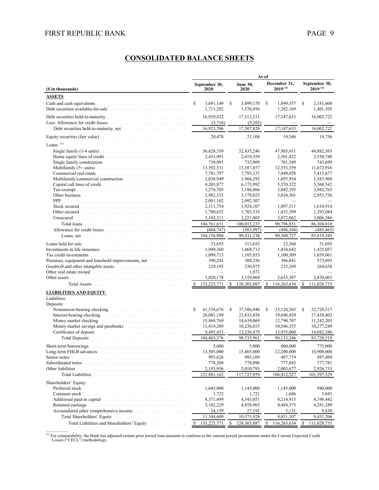# **CONSOLIDATED BALANCE SHEETS**

|                                                                                                                                                                                                                                |               |                        |    |                         | As of |                              |               |                               |
|--------------------------------------------------------------------------------------------------------------------------------------------------------------------------------------------------------------------------------|---------------|------------------------|----|-------------------------|-------|------------------------------|---------------|-------------------------------|
| (\$ in thousands)                                                                                                                                                                                                              |               | September 30,<br>2020  |    | <b>June 30.</b><br>2020 |       | December 31,<br>$2019^{(1)}$ |               | September 30,<br>$2019^{(1)}$ |
| <b>ASSETS</b>                                                                                                                                                                                                                  |               |                        |    |                         |       |                              |               |                               |
| Debt securities available-for-sale                                                                                                                                                                                             | S             | 3,691,149<br>1,711,202 | S  | 3,099,170<br>1,576,956  | S     | 1,699,557<br>1,282,169       | S             | 2,181,600<br>1,401,105        |
|                                                                                                                                                                                                                                |               | 16,929,422             |    | 17,513,211              |       | 17,147,633                   |               | 16,002,722                    |
|                                                                                                                                                                                                                                |               | (5,716)<br>16,923,706  |    | (5,383)<br>17,507,828   |       | 17,147,633                   |               | 16,002,722                    |
|                                                                                                                                                                                                                                |               | 20,478                 |    | 21,104                  |       | 19,586                       |               | 19,736                        |
| Loans: $(1)$                                                                                                                                                                                                                   |               |                        |    |                         |       |                              |               |                               |
|                                                                                                                                                                                                                                |               | 56,628,359             |    | 52,435,246              |       | 47,985,651                   |               | 44,882,363                    |
|                                                                                                                                                                                                                                |               | 2,431,991              |    | 2,419,359               |       | 2,501,432                    |               | 2,530,740                     |
|                                                                                                                                                                                                                                |               | 739.091                |    | 733.909                 |       | 761,589                      |               | 743,699                       |
| Multifamily (5+ units)                                                                                                                                                                                                         |               | 13,392,531             |    | 13,187,857              |       | 12,353,359                   |               | 11,672,916                    |
| Commercial real estate                                                                                                                                                                                                         |               | 7,781,797              |    | 7,793,137               |       | 7,449,058                    |               | 7,415,677                     |
|                                                                                                                                                                                                                                |               | 2,038,949              |    | 1,966,292               |       | 1,695,954                    |               | 1,583,968                     |
|                                                                                                                                                                                                                                |               | 6,203,877              |    | 6,173,992               |       | 5,570,322                    |               | 5,568,342                     |
|                                                                                                                                                                                                                                |               | 3,276,705              |    | 3,186,066               |       | 3,042,193                    |               | 3,042,765                     |
|                                                                                                                                                                                                                                |               | 2,982,532              |    | 3,179,023               |       | 3,034,301                    |               | 2,953,756                     |
| PPP                                                                                                                                                                                                                            |               | 2,091,102              |    | 2,092,307               |       |                              |               |                               |
| Stock secured entertainment in the state of the state of the state of the state of the state of the state of the state of the state of the state of the state of the state of the state of the state of the state of the state |               | 2,311,754              |    | 1,924,107               |       | 1,897,511                    |               | 1,610,914                     |
| Other secured                                                                                                                                                                                                                  |               | 1,780,652              |    | 1,702,535               |       | 1,433,399                    |               | 1,293,084                     |
| Unsecured                                                                                                                                                                                                                      |               | 3,102,311              |    | 3,221,405               |       | 3,072,062                    |               | 3,006,586                     |
|                                                                                                                                                                                                                                |               | 104,761,651            |    | 100,015,235             |       | 90,796,831                   |               | 86,304,810                    |
|                                                                                                                                                                                                                                |               | (604, 747)             |    | (583, 997)              |       | (496, 104)                   |               | (485, 465)                    |
|                                                                                                                                                                                                                                |               | 104,156,904            |    | 99,431,238              |       | 90.300.727                   |               | 85,819,345                    |
| Loans held for sale                                                                                                                                                                                                            |               | 33,655                 |    | 313,655                 |       | 23.304                       |               | 31,693                        |
|                                                                                                                                                                                                                                |               | 1,949,360              |    | 1,468,712               |       | 1,434,642                    |               | 1,425,057                     |
|                                                                                                                                                                                                                                |               | 1,099,713              |    | 1,105,853               |       | 1,100,509                    |               | 1,039,061                     |
| Premises, equipment and leasehold improvements, net                                                                                                                                                                            |               | 390,241                |    | 388,256                 |       | 386,841                      |               | 373,693                       |
|                                                                                                                                                                                                                                |               | 229,185                |    | 230,975                 |       | 235,269                      |               | 264,658                       |
|                                                                                                                                                                                                                                |               |                        |    | 1,071                   |       |                              |               |                               |
|                                                                                                                                                                                                                                |               | 3,020,178              |    | 3,159,069               |       | 2,633,397                    |               | 2,470,065                     |
|                                                                                                                                                                                                                                |               | \$ 133,225,771         |    | \$128,303,887           | \$    | 116,263,634                  | <sup>\$</sup> | 111,028,735                   |
|                                                                                                                                                                                                                                |               |                        |    |                         |       |                              |               |                               |
| <b>LIABILITIES AND EQUITY</b><br>Liabilities:<br>Deposits:                                                                                                                                                                     |               |                        |    |                         |       |                              |               |                               |
|                                                                                                                                                                                                                                | S             | 41,538,676             | S  | 37,586,940              | S     | 33, 124, 265                 | \$            | 32,720,317                    |
|                                                                                                                                                                                                                                |               | 26,081,189             |    | 23,833,458              |       | 19,696,859                   |               | 17,438,402                    |
| Money market checking                                                                                                                                                                                                          |               | 15,868,769             |    | 14,639,069              |       | 12,790,707                   |               | 11,242,205                    |
|                                                                                                                                                                                                                                |               | 11,419,289             |    | 10,236,015              |       | 10,586,355                   |               | 10,277,249                    |
|                                                                                                                                                                                                                                |               | 9,495,453              |    | 12,238,479              |       | 13,935,060                   |               | 14,042,346                    |
|                                                                                                                                                                                                                                |               | 104,403,376            |    | 98,533,961              |       | 90,133,246                   |               | 85,720,519                    |
| Short-term borrowings                                                                                                                                                                                                          |               | 5,000                  |    | 5,000                   |       | 800,000                      |               | 775,000                       |
| Long-term FHLB advances                                                                                                                                                                                                        |               | 13,505,000             |    | 15,405,000              |       | 12,200,000                   |               | 10,900,000                    |
| Senior notes                                                                                                                                                                                                                   |               | 995,626                |    | 995,109                 |       | 497,719                      |               | 497,494                       |
|                                                                                                                                                                                                                                |               | 778,204                |    | 778,096                 |       | 777,885                      |               | 777,781                       |
| Other liabilities                                                                                                                                                                                                              |               | 2,193,956              |    | 2,010,793               |       | 2,003,677                    |               | 2,926,735                     |
|                                                                                                                                                                                                                                |               | 121,881,162            |    | 117,727,959             |       | 106,412,527                  |               | 101,597,529                   |
| Shareholders' Equity:                                                                                                                                                                                                          |               |                        |    |                         |       |                              |               |                               |
| Preferred stock                                                                                                                                                                                                                |               | 1,645,000              |    | 1,145,000               |       | 1,145,000                    |               | 940,000                       |
| Common stock                                                                                                                                                                                                                   |               | 1,722                  |    | 1,721                   |       | 1,686                        |               | 1,685                         |
|                                                                                                                                                                                                                                |               | 4,571,499              |    | 4,543,051               |       | 4,214,915                    |               | 4,198,442                     |
| Retained earnings                                                                                                                                                                                                              |               | 5,102,229              |    | 4,858,965               |       | 4,484,375                    |               | 4,281,249                     |
|                                                                                                                                                                                                                                |               | 24,159                 |    | 27,191                  |       | 5,131                        |               | 9,830                         |
| Total Shareholders' Equity                                                                                                                                                                                                     |               | 11,344,609             |    | 10,575,928              |       | 9,851,107                    |               | 9,431,206                     |
|                                                                                                                                                                                                                                | <sup>\$</sup> | 133,225,771            | -S | 128,303,887             | S     | 116,263,634                  | S             | 111,028,735                   |

(1) For comparability, the Bank has adjusted certain prior period loan amounts to conform to the current period presentation under the Current Expected Credit Losses ("CECL") methodology.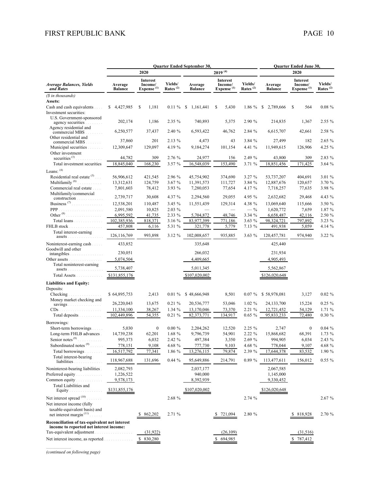|                                                      |                             |                                               |                        | Quarter Ended September 30,<br>Quarter Ended June 30, |                                                      |                        |                           |                                               |                        |
|------------------------------------------------------|-----------------------------|-----------------------------------------------|------------------------|-------------------------------------------------------|------------------------------------------------------|------------------------|---------------------------|-----------------------------------------------|------------------------|
|                                                      |                             | 2020                                          |                        |                                                       | $2019^{(4)}$                                         |                        |                           | 2020                                          |                        |
| Average Balances, Yields<br>and Rates                | Average<br><b>Balance</b>   | Interest<br>Income/<br>Expense <sup>(1)</sup> | Yields/<br>Rates $(2)$ | Average<br><b>Balance</b>                             | <b>Interest</b><br>Income/<br>Expense <sup>(1)</sup> | Yields/<br>Rates $(2)$ | Average<br><b>Balance</b> | Interest<br>Income/<br>Expense <sup>(1)</sup> | Yields/<br>Rates $(2)$ |
| (\$ in thousands)                                    |                             |                                               |                        |                                                       |                                                      |                        |                           |                                               |                        |
| Assets:                                              | \$4,427,985                 | 1,181                                         |                        |                                                       |                                                      |                        |                           |                                               | $0.08 \%$              |
| Cash and cash equivalents<br>Investment securities:  |                             | \$                                            | $0.11 \%$              | \$<br>1,161,441                                       | \$<br>5,430                                          | 1.86 %                 | \$<br>2,789,666           | \$<br>564                                     |                        |
| U.S. Government-sponsored                            |                             |                                               |                        |                                                       |                                                      |                        |                           |                                               |                        |
| agency securities<br>.                               | 202,174                     | 1,186                                         | 2.35 %                 | 740,893                                               | 5,375                                                | 2.90 %                 | 214,835                   | 1,367                                         | 2.55 %                 |
| Agency residential and<br>commercial MBS<br>$\cdots$ | 6,250,577                   | 37,437                                        | 2.40 %                 | 6,593,422                                             | 46.762                                               | 2.84 %                 | 6,615,707                 | 42.661                                        | 2.58 %                 |
| Other residential and                                | 37,860                      | 201                                           | 2.13 %                 | 4,473                                                 | 43                                                   | 3.84 %                 | 27,499                    | 182                                           | 2.65 %                 |
| commercial MBS<br>Municipal securities               | 12,309,647                  | 129,097                                       | 4.19 %                 | 9,184,274                                             | 101,154                                              | 4.41 %                 | 11,949,615                | 126,906                                       | 4.25 %                 |
| Other investment                                     |                             |                                               |                        |                                                       |                                                      |                        |                           |                                               |                        |
| securities $^{(3)}$                                  | 44,782                      | 309                                           | 2.76 %                 | 24,977                                                | 156                                                  | 2.49 %                 | 43,800                    | 309                                           | 2.83 %                 |
| Total investment securities                          | 18,845,040                  | 168,230                                       | 3.57 %                 | 16,548,039                                            | 153,490                                              | 3.71%                  | 18,851,456                | 171,425                                       | 3.64 %                 |
| Loans: $(4)$                                         |                             |                                               |                        |                                                       |                                                      |                        |                           |                                               |                        |
| Residential real estate $(5)$ .                      | 56,906,612                  | 421,545                                       | 2.96 %                 | 45,754,902                                            | 374,690                                              | 3.27%                  | 53,737,207                | 404,691                                       | 3.01 %                 |
| Multifamily <sup>(6)</sup><br>.                      | 13,312,631                  | 124,759                                       | 3.67 %                 | 11,391,573                                            | 111,727                                              | 3.84 %                 | 12,887,676                | 120,657                                       | 3.70 %                 |
| Commercial real estate<br>Multifamily/commercial     | 7,801,603                   | 78,412                                        | 3.93 %                 | 7,280,053                                             | 77,654                                               | 4.17 %                 | 7,718,257                 | 77,635                                        | 3.98 %                 |
| construction                                         | 2,739,717                   | 30,608                                        | 4.37 %                 | 2,294,560                                             | 29,055                                               | 4.95 %                 | 2,632,682                 | 29,468                                        | 4.43 %                 |
|                                                      | 12,538,201                  | 110,487                                       | 3.45 %                 | 11,551,439                                            | 129,314                                              | 4.38 %                 | 13,069,640                | 115,666                                       | 3.50 %                 |
| PPP<br>.                                             | 2,091,580                   | 10,825                                        | 2.03 %                 |                                                       | $\overline{\phantom{0}}$                             | $-$ %                  | 1,620,772                 | 7,659                                         | 1.87 %                 |
| Other <sup>(8)</sup><br>.                            | 6,995,592                   | 41,735                                        | 2.33 %                 | 5,704,872                                             | 48,746                                               | 3.34 %                 | 6,658,487                 | 42,116                                        | 2.50 %                 |
| Total loans                                          | 102,385,936                 | 818,371                                       | 3.16 %                 | 83,977,399                                            | 771,186                                              | 3.63 %                 | 98,324,721                | 797,892                                       | 3.23 %                 |
| FHLB stock<br>Total interest-earning                 | 457,808                     | 6,116                                         | 5.31 %                 | 321,778                                               | 5,779                                                | 7.13 %                 | 491,938                   | 5,059                                         | 4.14 %                 |
| $assets$                                             | 126, 116, 769               | 993,898                                       | 3.12 %                 | 102,008,657                                           | 935,885                                              | 3.63%                  | 120,457,781               | 974,940                                       | 3.22 %                 |
| Noninterest-earning cash                             | 433,852                     |                                               |                        | 335,648                                               |                                                      |                        | 425,440                   |                                               |                        |
| Goodwill and other                                   |                             |                                               |                        |                                                       |                                                      |                        |                           |                                               |                        |
| intangibles                                          | 230,051                     |                                               |                        | 266,032                                               |                                                      |                        | 231,934                   |                                               |                        |
| Other assets<br>.<br>Total noninterest-earning       | 5,074,504                   |                                               |                        | 4,409,665                                             |                                                      |                        | 4,905,493                 |                                               |                        |
| assets                                               | 5,738,407                   |                                               |                        | 5,011,345                                             |                                                      |                        | 5,562,867                 |                                               |                        |
| Total Assets                                         | \$131,855,176               |                                               |                        | \$107,020,002                                         |                                                      |                        | \$126,020,648             |                                               |                        |
| <b>Liabilities and Equity:</b>                       |                             |                                               |                        |                                                       |                                                      |                        |                           |                                               |                        |
| Deposits:                                            |                             |                                               |                        |                                                       |                                                      |                        |                           |                                               |                        |
| Checking                                             | \$64,895,753                | 2,413                                         | $0.01 \%$              | \$48,666,948                                          | 8,501                                                | $0.07\%$               | \$58,978,081              | 3,127                                         | $0.02 \%$              |
| Money market checking and                            | 26,220,043                  | 13,675                                        | $0.21 \%$              | 20,536,777                                            | 53,046                                               | $1.02 \%$              | 24, 133, 700              | 15,224                                        | $0.25 \%$              |
|                                                      | 11,334,100                  | 38,267                                        | 1.34 %                 | 13,170,046                                            | 73,370                                               | 2.21 %                 | 12,721,452                | 54,129                                        | 1.71 %                 |
| Total deposits                                       | 102,449,896                 | 54,355                                        | $0.21 \%$              | 82,373,771                                            | 134,917                                              | $0.65 \%$              | 95,833,233                | 72,480                                        | 0.30 %                 |
| Borrowings:                                          |                             |                                               |                        |                                                       |                                                      |                        |                           |                                               |                        |
| Short-term borrowings                                | 5,030                       | $\boldsymbol{0}$                              | $0.00 \%$              | 2,204,262                                             | 12,520                                               | 2.25 %                 | 2,747                     | $\boldsymbol{0}$                              | $0.04\%$               |
| Long-term FHLB advances.                             | 14,739,238                  | 62,201                                        | 1.68 %                 | 9,796,739                                             | 54,901                                               | 2.22 %                 | 15,868,682                | 68,391                                        | 1.73 %                 |
| Senior notes <sup>(9)</sup>                          | 995,373                     | 6,032                                         | 2.42 %                 | 497,384                                               | 3,350                                                | 2.69 %                 | 994,905                   | 6,034                                         | $2.43\%$               |
| Subordinated notes <sup>(9)</sup>                    | 778,151                     | 9,108                                         | 4.68 %                 | 777,730                                               | 9,103                                                | 4.68 %                 | 778,044                   | 9,107                                         | 4.68 %                 |
| Total borrowings                                     | 16,517,792                  | 77,341                                        | 1.86 %                 | 13,276,115                                            | 79,874                                               | 2.39 %                 | 17,644,378                | 83,532                                        | 1.90 %                 |
| Total interest-bearing<br>liabilities.               | 118,967,688                 | 131,696                                       | 0.44%                  | 95,649,886                                            | 214,791                                              | 0.89 %                 | 113,477,611               | 156,012                                       | $0.55 \%$              |
| Noninterest-bearing liabilities                      | 2,082,793                   |                                               |                        | 2,037,177                                             |                                                      |                        | 2,067,585                 |                                               |                        |
| Preferred equity<br>.                                | 1,226,522                   |                                               |                        | 940,000                                               |                                                      |                        | 1,145,000                 |                                               |                        |
| Common equity                                        | 9,578,173                   |                                               |                        | 8,392,939                                             |                                                      |                        | 9,330,452                 |                                               |                        |
| Total Liabilities and<br>Equity $\ldots$             | \$131,855,176               |                                               |                        | \$107,020,002                                         |                                                      |                        | \$126,020,648             |                                               |                        |
| Net interest spread (10)                             |                             |                                               |                        |                                                       |                                                      | 2.74 %                 |                           |                                               |                        |
| Net interest income (fully                           |                             |                                               | 2.68 %                 |                                                       |                                                      |                        |                           |                                               | 2.67 %                 |
| taxable-equivalent basis) and                        |                             |                                               |                        |                                                       |                                                      |                        |                           |                                               |                        |
| net interest margin <sup>(11)</sup>                  |                             | 862,202                                       | 2.71 %                 |                                                       | 721,094                                              | 2.80 %                 |                           | 818,928                                       | 2.70 %                 |
| Reconciliation of tax-equivalent net interest        |                             |                                               |                        |                                                       |                                                      |                        |                           |                                               |                        |
| income to reported net interest income:              |                             |                                               |                        |                                                       |                                                      |                        |                           |                                               |                        |
| Tax-equivalent adjustment                            | and a straight and straight | (31, 922)                                     |                        |                                                       | (26, 109)                                            |                        |                           | (31,516)                                      |                        |
| Net interest income, as reported                     |                             | \$ 830,280                                    |                        |                                                       | 694,985                                              |                        |                           | 787,412                                       |                        |

*(continued on following page)*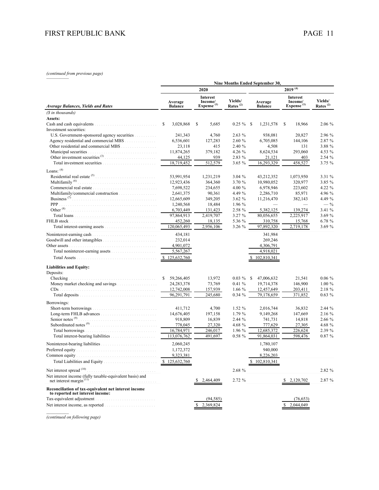# *(continued from previous page)* —————

|                                                                                        |                           |                                                      |                                 | Nine Months Ended September 30, |                                               |                        |  |
|----------------------------------------------------------------------------------------|---------------------------|------------------------------------------------------|---------------------------------|---------------------------------|-----------------------------------------------|------------------------|--|
|                                                                                        |                           | 2020                                                 |                                 |                                 | $2019^{(4)}$                                  |                        |  |
| <b>Average Balances, Yields and Rates</b>                                              | Average<br><b>Balance</b> | <b>Interest</b><br>Income/<br>Expense <sup>(1)</sup> | Yields/<br>Rates <sup>(2)</sup> | Average<br><b>Balance</b>       | Interest<br>Income/<br>Expense <sup>(1)</sup> | Yields/<br>Rates $(2)$ |  |
| (\$ in thousands)                                                                      |                           |                                                      |                                 |                                 |                                               |                        |  |
| Assets:                                                                                |                           |                                                      |                                 |                                 |                                               |                        |  |
|                                                                                        | \$<br>3,028,868           | \$<br>5,685                                          | $0.25 \%$                       | -S<br>1,231,578                 | \$<br>18,966                                  | 2.06 %                 |  |
| Investment securities:                                                                 |                           |                                                      |                                 |                                 |                                               |                        |  |
| U.S. Government-sponsored agency securities                                            | 241,343                   | 4,760                                                | 2.63%                           | 938,081                         | 20,827                                        | 2.96 %                 |  |
|                                                                                        | 6,536,601                 | 127,283                                              | 2.60 %                          | 6,705,085                       | 144,106                                       | 2.87 %                 |  |
|                                                                                        | 23,118                    | 415                                                  | 2.40 %                          | 4,508                           | 131                                           | 3.88 %                 |  |
| Municipal securities<br>Other investment securities $(3)$                              | 11,874,265                | 379,182                                              | 4.26 %                          | 8,624,534                       | 293,060                                       | 4.53 %                 |  |
|                                                                                        | 44,125                    | 939<br>512,579                                       | 2.83 %<br>3.65%                 | 21,121<br>16,293,329            | 403                                           | 2.54 %<br>3.75 %       |  |
|                                                                                        | 18,719,452                |                                                      |                                 |                                 | 458,527                                       |                        |  |
| Loans: $(4)$                                                                           |                           |                                                      |                                 |                                 |                                               |                        |  |
| Residential real estate $(5)$                                                          | 53,991,954                | 1,231,219                                            | 3.04%                           | 43,212,352                      | 1,073,950                                     | 3.31 %                 |  |
| Multifamily <sup>(6)</sup>                                                             | 12,923,436                | 364,360                                              | 3.70 %                          | 10,980,052                      | 320,977                                       | 3.85 %                 |  |
|                                                                                        | 7,698,522                 | 234,655                                              | 4.00 %                          | 6,978,946                       | 223,602                                       | 4.22 %                 |  |
|                                                                                        | 2,641,375                 | 90,361                                               | 4.49 %                          | 2,286,710                       | 85,971                                        | 4.96 %                 |  |
| Business <sup>(7)</sup>                                                                | 12,665,609                | 349,205                                              | 3.62%                           | 11,216,470                      | 382,143                                       | 4.49 %                 |  |
| <b>PPP</b>                                                                             | 1,240,568                 | 18,484                                               | 1.96 %                          |                                 |                                               | $- \frac{9}{6}$        |  |
| Other $^{(8)}$                                                                         | 6,703,449                 | 131,423                                              | 2.58 %                          | 5,382,125                       | 139,274                                       | 3.41 %                 |  |
|                                                                                        | 97,864,913                | 2,419,707                                            | 3.27 %                          | 80,056,655                      | 2,225,917                                     | 3.69 %                 |  |
| FHLB stock                                                                             | 452,260                   | 18,135                                               | 5.36 %                          | 310,758                         | 15,768                                        | 6.78 %                 |  |
|                                                                                        | 120,065,493               | 2,956,106                                            | 3.26 %                          | 97,892,320                      | 2,719,178                                     | 3.69 %                 |  |
| Noninterest-earning cash                                                               | 434,181                   |                                                      |                                 | 341,984                         |                                               |                        |  |
|                                                                                        | 232,014                   |                                                      |                                 | 269,246                         |                                               |                        |  |
| Other assets                                                                           | 4,901,072                 |                                                      |                                 | 4,306,791                       |                                               |                        |  |
|                                                                                        | 5,567,267                 |                                                      |                                 | 4,918,021                       |                                               |                        |  |
|                                                                                        | 125,632,760<br>-S         |                                                      |                                 | 102,810,341<br>S                |                                               |                        |  |
| <b>Liabilities and Equity:</b>                                                         |                           |                                                      |                                 |                                 |                                               |                        |  |
| Deposits:                                                                              |                           |                                                      |                                 |                                 |                                               |                        |  |
| Checking                                                                               | \$<br>59,266,405          | 13,972                                               | $0.03\%$                        | <sup>\$</sup><br>47,006,632     | 21,541                                        | $0.06 \%$              |  |
|                                                                                        | 24,283,378                | 73,769                                               | 0.41%                           | 19,714,378                      | 146,900                                       | $1.00\%$               |  |
|                                                                                        | 12,742,008                | 157,939                                              | 1.66 $%$                        | 12,457,649                      | 203,411                                       | 2.18 %                 |  |
|                                                                                        | 96,291,791                | 245,680                                              | $0.34 \%$                       | 79,178,659                      | 371,852                                       | 0.63%                  |  |
|                                                                                        |                           |                                                      |                                 |                                 |                                               |                        |  |
| Borrowings:                                                                            |                           |                                                      | 1.52 %                          |                                 |                                               | 2.44 %                 |  |
| Short-term borrowings.                                                                 | 411,712<br>14,676,405     | 4,700<br>197,158                                     | 1.79 %                          | 2,016,744<br>9,149,268          | 36,832<br>147,669                             | 2.16 %                 |  |
| Senior notes <sup>(9)</sup>                                                            | 918,809                   | 16,839                                               | 2.44 %                          | 741,731                         | 14,818                                        | 2.66 %                 |  |
|                                                                                        | 778,045                   | 27,320                                               | 4.68 %                          | 777,629                         | 27,305                                        | 4.68 %                 |  |
| Total borrowings.                                                                      | 16,784,971                | 246,017                                              | 1.96 %                          | 12,685,372                      | 226,624                                       | 2.39 %                 |  |
|                                                                                        | 113,076,762               | 491,697                                              | $0.58 \%$                       | 91,864,031                      | 598,476                                       | $0.87 \%$              |  |
|                                                                                        |                           |                                                      |                                 |                                 |                                               |                        |  |
|                                                                                        | 2,060,245                 |                                                      |                                 | 1,780,107                       |                                               |                        |  |
|                                                                                        | 1,172,372                 |                                                      |                                 | 940,000<br>8,226,203            |                                               |                        |  |
|                                                                                        | 9,323,381                 |                                                      |                                 |                                 |                                               |                        |  |
| Total Liabilities and Equity                                                           | 125,632,760               |                                                      |                                 | \$102,810,341                   |                                               |                        |  |
| Net interest spread (10)                                                               |                           |                                                      | 2.68 %                          |                                 |                                               | 2.82 %                 |  |
| Net interest income (fully taxable-equivalent basis) and<br>net interest margin $(11)$ |                           |                                                      |                                 |                                 |                                               |                        |  |
|                                                                                        |                           | 2,464,409                                            | 2.72 %                          |                                 | 2,120,702                                     | 2.87 %                 |  |
| Reconciliation of tax-equivalent net interest income                                   |                           |                                                      |                                 |                                 |                                               |                        |  |
| to reported net interest income:                                                       |                           |                                                      |                                 |                                 |                                               |                        |  |
| Tax-equivalent adjustment                                                              |                           | (94, 585)                                            |                                 |                                 | (76, 653)                                     |                        |  |
|                                                                                        |                           | 2,369,824                                            |                                 |                                 | 2,044,049                                     |                        |  |
|                                                                                        |                           |                                                      |                                 |                                 |                                               |                        |  |

*(continued on following page)*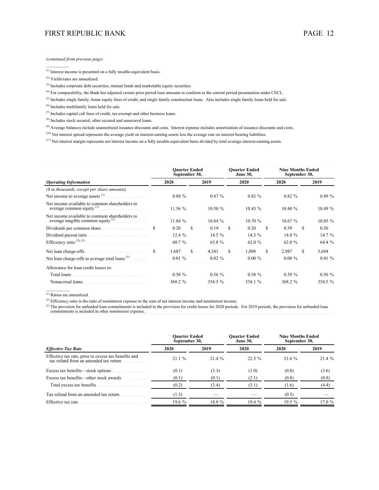*(continued from previous page)*

(1) Interest income is presented on a fully taxable-equivalent basis.

(2) Yields/rates are annualized.

*\_\_\_\_\_\_\_\_\_\_*

(3) Includes corporate debt securities, mutual funds and marketable equity securities.

(4) For comparability, the Bank has adjusted certain prior period loan amounts to conform to the current period presentation under CECL.

<sup>(5)</sup> Includes single family, home equity lines of credit, and single family construction loans. Also includes single family loans held for sale.

(6) Includes multifamily loans held for sale.

 $^{(7)}$  Includes capital call lines of credit, tax-exempt and other business loans.

(8) Includes stock secured, other secured and unsecured loans.

<sup>(9)</sup> Average balances include unamortized issuance discounts and costs. Interest expense includes amortization of issuance discounts and costs.

<sup>(10)</sup> Net interest spread represents the average yield on interest-earning assets less the average rate on interest-bearing liabilities.

(11) Net interest margin represents net interest income on a fully taxable-equivalent basis divided by total average interest-earning assets.

|                                                                                        |    | <b>Ouarter Ended</b><br>September 30, |      |           |      | <b>Ouarter Ended</b><br><b>June 30,</b> |    | <b>Nine Months Ended</b><br>September 30, |     |           |  |
|----------------------------------------------------------------------------------------|----|---------------------------------------|------|-----------|------|-----------------------------------------|----|-------------------------------------------|-----|-----------|--|
| <b>Operating Information</b>                                                           |    | 2020                                  | 2019 |           | 2020 |                                         |    | 2020                                      |     | 2019      |  |
| (\$ in thousands, except per share amounts)                                            |    |                                       |      |           |      |                                         |    |                                           |     |           |  |
| Net income to average assets $(1)$                                                     |    | $0.88 \%$                             |      | $0.87 \%$ |      | $0.82 \%$                               |    | $0.82 \%$                                 |     | $0.89\%$  |  |
| Net income available to common shareholders to                                         |    | 11.56 %                               |      | 10.50%    |      | $10.43\%$                               |    | 10.40 %                                   |     | 10.49%    |  |
| Net income available to common shareholders to<br>average tangible common equity $(1)$ |    | 11.84%                                |      | 10.84%    |      | 10.70%                                  |    | 10.67%                                    |     | 10.85 %   |  |
| Dividends per common share                                                             | S. | 0.20                                  | \$.  | 0.19      | \$.  | 0.20                                    | S. | 0.59                                      | \$. | 0.56      |  |
| Dividend payout ratio                                                                  |    | 12.4%                                 |      | 14.5 %    |      | 14.3 $%$                                |    | 14.0 $%$                                  |     | 14.7 %    |  |
| Efficiency ratio <sup>(2), (3)</sup>                                                   |    | 60.7 %                                |      | 63.8%     |      | 62.0 %                                  |    | 62.0 %                                    |     | 64.4 %    |  |
|                                                                                        |    | 1.687                                 | S.   | 4.341     | S    | 1.098                                   | S. | 2.987                                     | S   | 5,694     |  |
| Net loan charge-offs to average total loans $(1)$                                      |    | $0.01\%$                              |      | $0.02 \%$ |      | $0.00 \%$                               |    | $0.00 \%$                                 |     | $0.01 \%$ |  |
| Allowance for loan credit losses to:                                                   |    |                                       |      |           |      |                                         |    |                                           |     |           |  |
| Total loans                                                                            |    | $0.58 \%$                             |      | $0.56\%$  |      | $0.58 \%$                               |    | $0.58 \%$                                 |     | $0.56\%$  |  |
| Nonaccrual loans                                                                       |    | 368.2 %                               |      | 354.5 %   |      | 354.1 %                                 |    | 368.2 %                                   |     | 354.5 %   |  |

 $\overline{^{(1)}$  Ratios are annualized.

<sup>(2)</sup> Efficiency ratio is the ratio of noninterest expense to the sum of net interest income and noninterest income.

<sup>(3)</sup> The provision for unfunded loan commitments is included in the provision for credit losses for 2020 periods. For 2019 periods, the provision for unfunded loan commitments is included in other noninterest expense.

|                                                                                               | <b>Ouarter Ended</b><br>September 30, |        | <b>Ouarter Ended</b><br><b>June 30.</b> | <b>Nine Months Ended</b><br>September 30, |        |  |  |
|-----------------------------------------------------------------------------------------------|---------------------------------------|--------|-----------------------------------------|-------------------------------------------|--------|--|--|
| <b>Effective Tax Rate</b>                                                                     | 2020                                  | 2019   | 2020                                    | 2020                                      | 2019   |  |  |
| Effective tax rate, prior to excess tax benefits and<br>tax refund from an amended tax return | 21.1%                                 | 21.4%  | $22.5 \%$                               | 21.6 %                                    | 21.4 % |  |  |
| Excess tax benefits—stock options                                                             | (0.1)                                 | (3.3)  | (1.0)                                   | (0.8)                                     | (3.6)  |  |  |
| Excess tax benefits—other stock awards                                                        | (0.1)                                 | (0.1)  | (2.1)                                   | (0.8)                                     | (0.8)  |  |  |
| Total excess tax benefits                                                                     | (0.2)                                 | (3.4)  | (3.1)                                   | (1.6)                                     | (4.4)  |  |  |
| Tax refund from an amended tax return                                                         | (1.3)                                 |        |                                         | (0.5)                                     |        |  |  |
| Effective tax rate                                                                            | 19.6%                                 | 18.0 % | 19.4%                                   | $19.5\%$                                  | 17.0%  |  |  |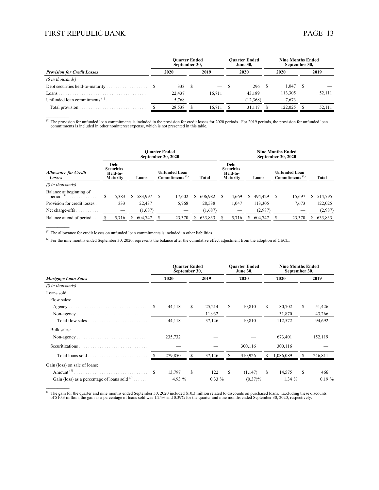$\mathcal{L}_\text{max}$ 

 $\mathcal{L}_\text{max}$ 

 $\mathcal{L}_\text{max}$ 

|                                                       |  | <b>Ouarter Ended</b><br>September 30, |      |                          | <b>Ouarter Ended</b><br><b>June 30.</b> | <b>Nine Months Ended</b><br>September 30, |         |      |        |
|-------------------------------------------------------|--|---------------------------------------|------|--------------------------|-----------------------------------------|-------------------------------------------|---------|------|--------|
| <b>Provision for Credit Losses</b>                    |  | 2020                                  | 2019 |                          | 2020                                    | 2020                                      |         | 2019 |        |
| (\$ in thousands)                                     |  |                                       |      |                          |                                         |                                           |         |      |        |
|                                                       |  | 333                                   |      | $\overline{\phantom{a}}$ | 296                                     |                                           | 1.047   |      |        |
| Loans .                                               |  | 22.437                                |      | 16.711                   | 43.189                                  |                                           | 113.305 |      | 52,111 |
| Unfunded loan commitments <sup><math>(1)</math></sup> |  | 5.768                                 |      |                          | (12.368)                                |                                           | 7.673   |      |        |
|                                                       |  | 28.538                                |      | 16.711                   | 31.117                                  |                                           | 122.025 |      | 52.111 |

 $^{(1)}$  The provision for unfunded loan commitments is included in the provision for credit losses for 2020 periods. For 2019 periods, the provision for unfunded loan commitments is included in other noninterest expense, w

|                                              | <b>Ouarter Ended</b><br>September 30, 2020               |    |         |   |                                                    |   |           | <b>Nine Months Ended</b><br><b>September 30, 2020</b> |                                                          |  |         |  |                                                    |    |         |  |
|----------------------------------------------|----------------------------------------------------------|----|---------|---|----------------------------------------------------|---|-----------|-------------------------------------------------------|----------------------------------------------------------|--|---------|--|----------------------------------------------------|----|---------|--|
| <b>Allowance for Credit</b><br><b>Losses</b> | Debt<br><b>Securities</b><br>Held-to-<br><b>Maturity</b> |    | Loans   |   | <b>Unfunded Loan</b><br>Commitments <sup>(1)</sup> |   | Total     |                                                       | Debt<br><b>Securities</b><br>Held-to-<br><b>Maturity</b> |  | Loans   |  | <b>Unfunded Loan</b><br>Commitments <sup>(1)</sup> |    | Total   |  |
| (\$ in thousands)                            |                                                          |    |         |   |                                                    |   |           |                                                       |                                                          |  |         |  |                                                    |    |         |  |
| Balance at beginning of<br>period $^{(2)}$   | 5,383                                                    |    | 583,997 | S | 17,602                                             | S | 606,982   |                                                       | 4.669                                                    |  | 494.429 |  | 15,697                                             | S. | 514,795 |  |
| Provision for credit losses                  | 333                                                      |    | 22,437  |   | 5,768                                              |   | 28,538    |                                                       | 1,047                                                    |  | 113,305 |  | 7,673                                              |    | 122,025 |  |
| Net charge-offs                              |                                                          |    | (1,687) |   |                                                    |   | (1,687)   |                                                       |                                                          |  | (2,987) |  |                                                    |    | (2,987) |  |
| Balance at end of period                     | 5.716                                                    | S. | 604,747 |   | 23,370                                             |   | \$633,833 |                                                       | 5,716                                                    |  | 604,747 |  | 23,370                                             | S. | 633,833 |  |

 $<sup>(1)</sup>$  The allowance for credit losses on unfunded loan commitments is included in other liabilities.</sup>

<sup>(2)</sup> For the nine months ended September 30, 2020, represents the balance after the cumulative effect adjustment from the adoption of CECL.

|                                                 |    | <b>Ouarter Ended</b><br>September 30, |    |          |    | <b>Ouarter Ended</b><br><b>June 30,</b> | <b>Nine Months Ended</b><br>September 30, |           |      |          |  |
|-------------------------------------------------|----|---------------------------------------|----|----------|----|-----------------------------------------|-------------------------------------------|-----------|------|----------|--|
| <b>Mortgage Loan Sales</b>                      |    | 2020                                  |    | 2019     |    | 2020                                    |                                           | 2020      | 2019 |          |  |
| (\$ in thousands)                               |    |                                       |    |          |    |                                         |                                           |           |      |          |  |
| Loans sold:                                     |    |                                       |    |          |    |                                         |                                           |           |      |          |  |
| Flow sales:                                     |    |                                       |    |          |    |                                         |                                           |           |      |          |  |
| Agency.                                         | \$ | 44,118                                | S. | 25,214   | \$ | 10,810                                  | S                                         | 80,702    | S    | 51,426   |  |
| Non-agency                                      |    |                                       |    | 11,932   |    |                                         |                                           | 31,870    |      | 43,266   |  |
|                                                 |    | 44,118                                |    | 37,146   |    | 10,810                                  |                                           | 112,572   |      | 94,692   |  |
| Bulk sales:                                     |    |                                       |    |          |    |                                         |                                           |           |      |          |  |
| Non-agency                                      |    | 235,732                               |    |          |    |                                         |                                           | 673,401   |      | 152,119  |  |
| Securitizations                                 |    |                                       |    |          |    | 300,116                                 |                                           | 300,116   |      |          |  |
| Total loans sold                                |    | 279,850                               | \$ | 37,146   |    | 310,926                                 | S                                         | 1,086,089 | S    | 246,811  |  |
| Gain (loss) on sale of loans:                   |    |                                       |    |          |    |                                         |                                           |           |      |          |  |
| Amount $(1)$                                    | S. | 13,797                                | S  | 122      | S. | (1, 147)                                | S.                                        | 14,575    | S    | 466      |  |
| Gain (loss) as a percentage of loans sold $(1)$ |    | 4.93 $%$                              |    | $0.33\%$ |    | $(0.37)\%$                              |                                           | 1.34%     |      | $0.19\%$ |  |

<sup>(1)</sup> The gain for the quarter and nine months ended September 30, 2020 included \$10.3 million related to discounts on purchased loans. Excluding these discounts of \$10.3 million, the gain as a percentage of loans sold wa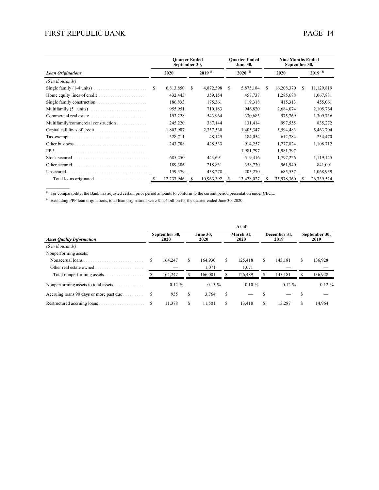|                                     | <b>Ouarter Ended</b><br>September 30, |    |              |    | <b>Ouarter Ended</b><br><b>June 30,</b> |      | <b>Nine Months Ended</b><br>September 30, |              |            |  |
|-------------------------------------|---------------------------------------|----|--------------|----|-----------------------------------------|------|-------------------------------------------|--------------|------------|--|
| <b>Loan Originations</b>            | 2020                                  |    | $2019^{(1)}$ |    | $2020^{(2)}$                            | 2020 |                                           | $2019^{(1)}$ |            |  |
| (\$ in thousands)                   |                                       |    |              |    |                                         |      |                                           |              |            |  |
| Single family (1-4 units)           | \$<br>6,813,850                       | S. | 4,872,598    | S. | 5,875,184                               | S.   | 16,208,370                                | S            | 11,129,819 |  |
| Home equity lines of credit<br>.    | 432,443                               |    | 359,154      |    | 457,737                                 |      | 1,285,688                                 |              | 1,067,881  |  |
| Single family construction.<br>.    | 186,833                               |    | 175,361      |    | 119,318                                 |      | 415,313                                   |              | 455,061    |  |
|                                     | 955,951                               |    | 710,183      |    | 946,820                                 |      | 2,684,074                                 |              | 2,105,764  |  |
| Commercial real estate.             | 193,228                               |    | 543,964      |    | 330,683                                 |      | 975,769                                   |              | 1,309,736  |  |
| Multifamily/commercial construction | 245,220                               |    | 387,144      |    | 131,414                                 |      | 997,555                                   |              | 835,272    |  |
|                                     | 1,803,907                             |    | 2,337,530    |    | 1,405,347                               |      | 5,594,483                                 |              | 5,463,704  |  |
| Tax-exempt.                         | 328,711                               |    | 48,125       |    | 184,054                                 |      | 612,784                                   |              | 234,470    |  |
|                                     | 243,788                               |    | 428,533      |    | 914,257                                 |      | 1,777,824                                 |              | 1,108,712  |  |
|                                     |                                       |    |              |    | 1,981,797                               |      | 1,981,797                                 |              |            |  |
| Stock secured                       | 685,250                               |    | 443,691      |    | 519,416                                 |      | 1,797,226                                 |              | 1,119,145  |  |
| Other secured                       | 189,386                               |    | 218,831      |    | 358,730                                 |      | 961,940                                   |              | 841,001    |  |
| Unsecured                           | 159,379                               |    | 438,278      |    | 203,270                                 |      | 685,537                                   |              | 1,068,959  |  |
| Total loans originated              | 12,237,946                            |    | 10,963,392   |    | 13,428,027                              |      | 35,978,360                                |              | 26,739,524 |  |
|                                     |                                       |    |              |    |                                         |      |                                           |              |            |  |

 $<sup>(1)</sup>$  For comparability, the Bank has adjusted certain prior period amounts to conform to the current period presentation under CECL.</sup>

(2) Excluding PPP loan originations, total loan originations were \$11.4 billion for the quarter ended June 30, 2020.

|                                         | As of |                              |    |                         |    |                   |    |                      |    |                       |  |  |  |
|-----------------------------------------|-------|------------------------------|----|-------------------------|----|-------------------|----|----------------------|----|-----------------------|--|--|--|
| <b>Asset Quality Information</b>        |       | September 30,<br><b>2020</b> |    | <b>June 30.</b><br>2020 |    | March 31,<br>2020 |    | December 31,<br>2019 |    | September 30,<br>2019 |  |  |  |
| (\$ in thousands)                       |       |                              |    |                         |    |                   |    |                      |    |                       |  |  |  |
| Nonperforming assets:                   |       |                              |    |                         |    |                   |    |                      |    |                       |  |  |  |
| Nonaccrual loans                        | S     | 164.247                      | S  | 164.930                 | S. | 125.418           | \$ | 143.181              | \$ | 136,928               |  |  |  |
| Other real estate owned                 |       |                              |    | 1,071                   |    | 1,071             |    |                      |    |                       |  |  |  |
| Total nonperforming assets              |       | 164.247                      |    | 166.001                 |    | 126.489           |    | 143.181              |    | 136,928               |  |  |  |
| Nonperforming assets to total assets    |       | $0.12 \%$                    |    | $0.13\%$                |    | $0.10 \%$         |    | $0.12 \%$            |    | $0.12 \%$             |  |  |  |
| Accruing loans 90 days or more past due | S     | 935                          | S  | 3,764                   | S  |                   |    |                      |    |                       |  |  |  |
| Restructured accruing loans             | S     | 11,378                       | \$ | 11,501                  | S  | 13,418            | S  | 13,287               | S  | 14,964                |  |  |  |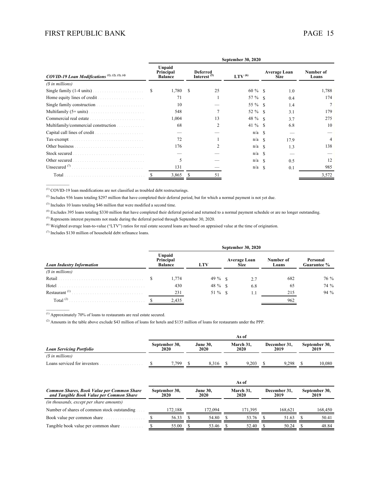|                                                           | September 30, 2020 |                                       |   |                                            |              |               |                             |                    |  |  |  |  |
|-----------------------------------------------------------|--------------------|---------------------------------------|---|--------------------------------------------|--------------|---------------|-----------------------------|--------------------|--|--|--|--|
| COVID-19 Loan Modifications <sup>(1), (2), (3), (4)</sup> |                    | Unpaid<br>Principal<br><b>Balance</b> |   | <b>Deferred</b><br>Interest <sup>(5)</sup> | LTV $^{(6)}$ |               | Average Loan<br><b>Size</b> | Number of<br>Loans |  |  |  |  |
| (\$ in millions)                                          |                    |                                       |   |                                            |              |               |                             |                    |  |  |  |  |
| Single family $(1-4 \text{ units})$ .                     | S                  | 1,780                                 | S | 25                                         | $60 \%$ \$   |               | 1.0                         | 1,788              |  |  |  |  |
| Home equity lines of credit.<br>.                         |                    | 71                                    |   |                                            | 57 % \$      |               | 0.4                         | 174                |  |  |  |  |
| Single family construction.<br>.                          |                    | 10                                    |   |                                            | 55 % \$      |               | 1.4                         |                    |  |  |  |  |
|                                                           |                    | 548                                   |   |                                            | 52 % \$      |               | 3.1                         | 179                |  |  |  |  |
| Commercial real estate                                    |                    | 1,004                                 |   | 13                                         | 48 % \$      |               | 3.7                         | 275                |  |  |  |  |
| Multifamily/commercial construction                       |                    | 68                                    |   | 2                                          | $41\%$ \$    |               | 6.8                         | 10                 |  |  |  |  |
| Capital call lines of credit.<br>.                        |                    |                                       |   |                                            | $n/a$ \$     |               |                             |                    |  |  |  |  |
| Tax-exempt.                                               |                    | 72                                    |   |                                            | $n/a$ \$     |               | 17.9                        | 4                  |  |  |  |  |
| Other business                                            |                    | 176                                   |   | 2                                          | n/a          | -8            | 13                          | 138                |  |  |  |  |
| Stock secured                                             |                    |                                       |   |                                            | n/a          | -S            |                             |                    |  |  |  |  |
| Other secured                                             |                    | 5                                     |   |                                            | n/a          | -8            | 0.5                         | 12                 |  |  |  |  |
| Unsecured $(7)$                                           |                    | 131                                   |   |                                            | n/a          | $\mathcal{S}$ | 0.1                         | 985                |  |  |  |  |
| Total                                                     |                    | 3,865                                 |   |                                            |              |               |                             | 3,572              |  |  |  |  |
|                                                           |                    |                                       |   |                                            |              |               |                             |                    |  |  |  |  |

(1) COVID-19 loan modifications are not classified as troubled debt restructurings.

<sup>(2)</sup> Includes 936 loans totaling \$297 million that have completed their deferral period, but for which a normal payment is not yet due.

(3) Includes 10 loans totaling \$46 million that were modified a second time.

(4) Excludes 395 loans totaling \$330 million that have completed their deferral period and returned to a normal payment schedule or are no longer outstanding.

(5) Represents interest payments not made during the deferral period through September 30, 2020.

(6) Weighted average loan-to-value ("LTV") ratios for real estate secured loans are based on appraised value at the time of origination.

(7) Includes \$130 million of household debt refinance loans.

|                                  | September 30, 2020 |                                       |           |                                    |     |                    |                         |  |  |  |  |
|----------------------------------|--------------------|---------------------------------------|-----------|------------------------------------|-----|--------------------|-------------------------|--|--|--|--|
| <b>Loan Industry Information</b> |                    | Unpaid<br>Principal<br><b>Balance</b> | LTV       | <b>Average Loan</b><br><b>Size</b> |     | Number of<br>Loans | Personal<br>Guarantee % |  |  |  |  |
| (\$ in millions)                 |                    |                                       |           |                                    |     |                    |                         |  |  |  |  |
| Retail                           |                    | 1,774                                 | $49\%$ \$ |                                    | 2.7 | 682                | 76 %                    |  |  |  |  |
| Hotel                            |                    | 430                                   | 48 % \$   |                                    | 6.8 | 65                 | 74 %                    |  |  |  |  |
| Restaurant <sup>(1)</sup>        |                    | 231                                   | $51\%$ \$ |                                    |     | 215                | 94 %                    |  |  |  |  |
| Total $^{(2)}$                   |                    | 2,435                                 |           |                                    |     | 962                |                         |  |  |  |  |

(1) Approximately 70% of loans to restaurants are real estate secured.

 $\mathcal{L}_\text{max}$ 

(2) Amounts in the table above exclude \$43 million of loans for hotels and \$135 million of loans for restaurants under the PPP.

|                                                                                        | As of                        |         |                         |                         |                            |         |                      |         |                       |         |
|----------------------------------------------------------------------------------------|------------------------------|---------|-------------------------|-------------------------|----------------------------|---------|----------------------|---------|-----------------------|---------|
| <b>Loan Servicing Portfolio</b>                                                        | September 30,<br><b>2020</b> |         |                         | <b>June 30.</b><br>2020 | March 31.<br>2020          |         | December 31.<br>2019 |         | September 30,<br>2019 |         |
| (\$ in millions)                                                                       |                              |         |                         |                         |                            |         |                      |         |                       |         |
| Loans serviced for investors                                                           |                              | 7,799   | S                       | 8,316                   |                            | 9,203   |                      | 9,298   | -S                    | 10,080  |
| Common Shares, Book Value per Common Share<br>and Tangible Book Value per Common Share | September 30,<br>2020        |         | <b>June 30.</b><br>2020 |                         | As of<br>March 31.<br>2020 |         | December 31,<br>2019 |         | September 30,<br>2019 |         |
| (in thousands, except per share amounts)                                               |                              |         |                         |                         |                            |         |                      |         |                       |         |
| Number of shares of common stock outstanding                                           |                              | 172,188 |                         | 172,094                 |                            | 171,395 |                      | 168.621 |                       | 168,450 |
| Book value per common share                                                            |                              | 56.33   |                         | 54.80                   |                            | 53.76   |                      | 51.63   |                       | 50.41   |
| Tangible book value per common share                                                   |                              | 55.00   |                         | 53.46                   |                            | 52.40   |                      | 50.24   |                       | 48.84   |